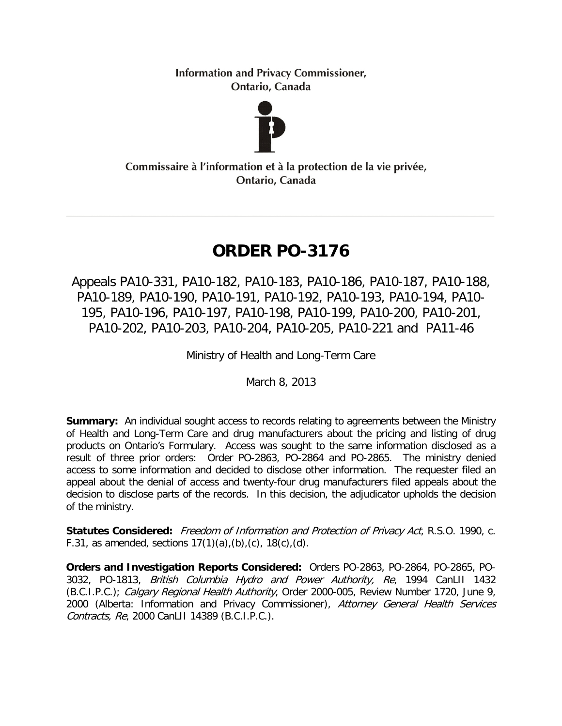**Information and Privacy Commissioner,** Ontario, Canada



Commissaire à l'information et à la protection de la vie privée, Ontario, Canada

# **ORDER PO-3176**

Appeals PA10-331, PA10-182, PA10-183, PA10-186, PA10-187, PA10-188, PA10-189, PA10-190, PA10-191, PA10-192, PA10-193, PA10-194, PA10- 195, PA10-196, PA10-197, PA10-198, PA10-199, PA10-200, PA10-201, PA10-202, PA10-203, PA10-204, PA10-205, PA10-221 and PA11-46

Ministry of Health and Long-Term Care

March 8, 2013

**Summary:** An individual sought access to records relating to agreements between the Ministry of Health and Long-Term Care and drug manufacturers about the pricing and listing of drug products on Ontario's Formulary. Access was sought to the same information disclosed as a result of three prior orders: Order PO-2863, PO-2864 and PO-2865. The ministry denied access to some information and decided to disclose other information. The requester filed an appeal about the denial of access and twenty-four drug manufacturers filed appeals about the decision to disclose parts of the records. In this decision, the adjudicator upholds the decision of the ministry.

**Statutes Considered:** Freedom of Information and Protection of Privacy Act, R.S.O. 1990, c. F.31, as amended, sections  $17(1)(a)$ ,  $(b)$ ,  $(c)$ ,  $18(c)$ ,  $(d)$ .

**Orders and Investigation Reports Considered:** Orders PO-2863, PO-2864, PO-2865, PO-3032, PO-1813, British Columbia Hydro and Power Authority, Re, 1994 CanLII 1432 (B.C.I.P.C.); Calgary Regional Health Authority, Order 2000-005, Review Number 1720, June 9, 2000 (Alberta: Information and Privacy Commissioner), Attorney General Health Services Contracts, Re, 2000 CanLII 14389 (B.C.I.P.C.).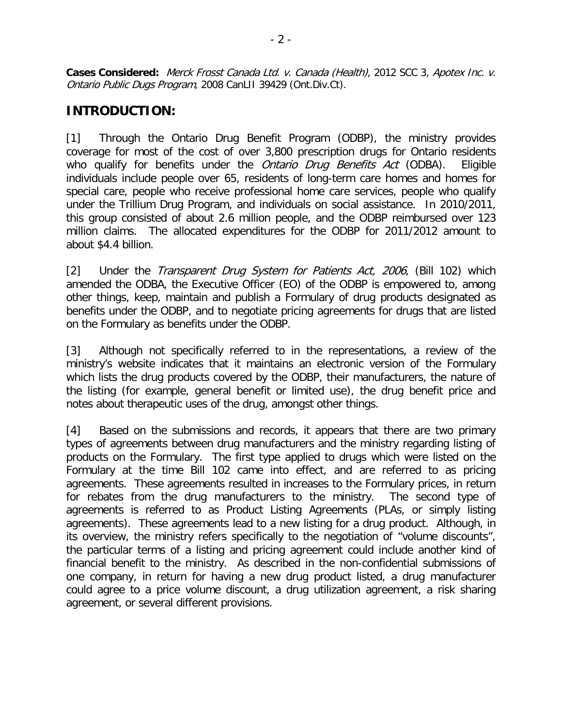**Cases Considered:** Merck Frosst Canada Ltd. v. Canada (Health), 2012 SCC 3, Apotex Inc. v. Ontario Public Dugs Program, 2008 CanLII 39429 (Ont.Div.Ct).

# **INTRODUCTION:**

[1] Through the Ontario Drug Benefit Program (ODBP), the ministry provides coverage for most of the cost of over 3,800 prescription drugs for Ontario residents who qualify for benefits under the *Ontario Drug Benefits Act* (ODBA). Eligible individuals include people over 65, residents of long-term care homes and homes for special care, people who receive professional home care services, people who qualify under the Trillium Drug Program, and individuals on social assistance. In 2010/2011, this group consisted of about 2.6 million people, and the ODBP reimbursed over 123 million claims. The allocated expenditures for the ODBP for 2011/2012 amount to about \$4.4 billion.

[2] Under the *Transparent Drug System for Patients Act*, 2006, (Bill 102) which amended the ODBA, the Executive Officer (EO) of the ODBP is empowered to, among other things, keep, maintain and publish a Formulary of drug products designated as benefits under the ODBP, and to negotiate pricing agreements for drugs that are listed on the Formulary as benefits under the ODBP.

[3] Although not specifically referred to in the representations, a review of the ministry's website indicates that it maintains an electronic version of the Formulary which lists the drug products covered by the ODBP, their manufacturers, the nature of the listing (for example, general benefit or limited use), the drug benefit price and notes about therapeutic uses of the drug, amongst other things.

[4] Based on the submissions and records, it appears that there are two primary types of agreements between drug manufacturers and the ministry regarding listing of products on the Formulary. The first type applied to drugs which were listed on the Formulary at the time Bill 102 came into effect, and are referred to as pricing agreements. These agreements resulted in increases to the Formulary prices, in return for rebates from the drug manufacturers to the ministry. The second type of agreements is referred to as Product Listing Agreements (PLAs, or simply listing agreements). These agreements lead to a new listing for a drug product. Although, in its overview, the ministry refers specifically to the negotiation of "volume discounts", the particular terms of a listing and pricing agreement could include another kind of financial benefit to the ministry. As described in the non-confidential submissions of one company, in return for having a new drug product listed, a drug manufacturer could agree to a price volume discount, a drug utilization agreement, a risk sharing agreement, or several different provisions.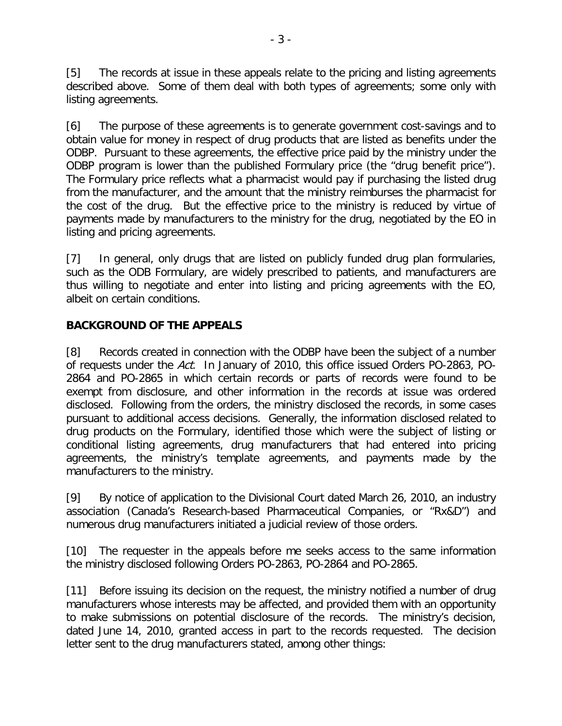[5] The records at issue in these appeals relate to the pricing and listing agreements described above. Some of them deal with both types of agreements; some only with listing agreements.

[6] The purpose of these agreements is to generate government cost-savings and to obtain value for money in respect of drug products that are listed as benefits under the ODBP. Pursuant to these agreements, the effective price paid by the ministry under the ODBP program is lower than the published Formulary price (the "drug benefit price"). The Formulary price reflects what a pharmacist would pay if purchasing the listed drug from the manufacturer, and the amount that the ministry reimburses the pharmacist for the cost of the drug. But the effective price to the ministry is reduced by virtue of payments made by manufacturers to the ministry for the drug, negotiated by the EO in listing and pricing agreements.

[7] In general, only drugs that are listed on publicly funded drug plan formularies, such as the ODB Formulary, are widely prescribed to patients, and manufacturers are thus willing to negotiate and enter into listing and pricing agreements with the EO, albeit on certain conditions.

#### **BACKGROUND OF THE APPEALS**

[8] Records created in connection with the ODBP have been the subject of a number of requests under the Act. In January of 2010, this office issued Orders PO-2863, PO-2864 and PO-2865 in which certain records or parts of records were found to be exempt from disclosure, and other information in the records at issue was ordered disclosed. Following from the orders, the ministry disclosed the records, in some cases pursuant to additional access decisions. Generally, the information disclosed related to drug products on the Formulary, identified those which were the subject of listing or conditional listing agreements, drug manufacturers that had entered into pricing agreements, the ministry's template agreements, and payments made by the manufacturers to the ministry.

[9] By notice of application to the Divisional Court dated March 26, 2010, an industry association (Canada's Research-based Pharmaceutical Companies, or "Rx&D") and numerous drug manufacturers initiated a judicial review of those orders.

[10] The requester in the appeals before me seeks access to the same information the ministry disclosed following Orders PO-2863, PO-2864 and PO-2865.

[11] Before issuing its decision on the request, the ministry notified a number of drug manufacturers whose interests may be affected, and provided them with an opportunity to make submissions on potential disclosure of the records. The ministry's decision, dated June 14, 2010, granted access in part to the records requested. The decision letter sent to the drug manufacturers stated, among other things: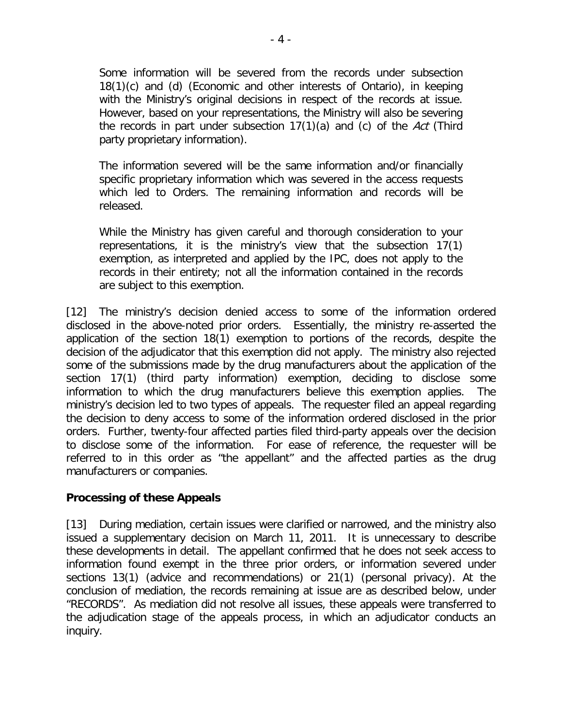Some information will be severed from the records under subsection 18(1)(c) and (d) (Economic and other interests of Ontario), in keeping with the Ministry's original decisions in respect of the records at issue. However, based on your representations, the Ministry will also be severing the records in part under subsection  $17(1)(a)$  and (c) of the Act (Third party proprietary information).

The information severed will be the same information and/or financially specific proprietary information which was severed in the access requests which led to Orders. The remaining information and records will be released.

While the Ministry has given careful and thorough consideration to your representations, it is the ministry's view that the subsection 17(1) exemption, as interpreted and applied by the IPC, does not apply to the records in their entirety; not all the information contained in the records are subject to this exemption.

[12] The ministry's decision denied access to some of the information ordered disclosed in the above-noted prior orders. Essentially, the ministry re-asserted the application of the section 18(1) exemption to portions of the records, despite the decision of the adjudicator that this exemption did not apply. The ministry also rejected some of the submissions made by the drug manufacturers about the application of the section 17(1) (third party information) exemption, deciding to disclose some information to which the drug manufacturers believe this exemption applies. The ministry's decision led to two types of appeals. The requester filed an appeal regarding the decision to deny access to some of the information ordered disclosed in the prior orders. Further, twenty-four affected parties filed third-party appeals over the decision to disclose some of the information. For ease of reference, the requester will be referred to in this order as "the appellant" and the affected parties as the drug manufacturers or companies.

#### **Processing of these Appeals**

[13] During mediation, certain issues were clarified or narrowed, and the ministry also issued a supplementary decision on March 11, 2011. It is unnecessary to describe these developments in detail. The appellant confirmed that he does not seek access to information found exempt in the three prior orders, or information severed under sections 13(1) (advice and recommendations) or 21(1) (personal privacy). At the conclusion of mediation, the records remaining at issue are as described below, under "RECORDS". As mediation did not resolve all issues, these appeals were transferred to the adjudication stage of the appeals process, in which an adjudicator conducts an inquiry.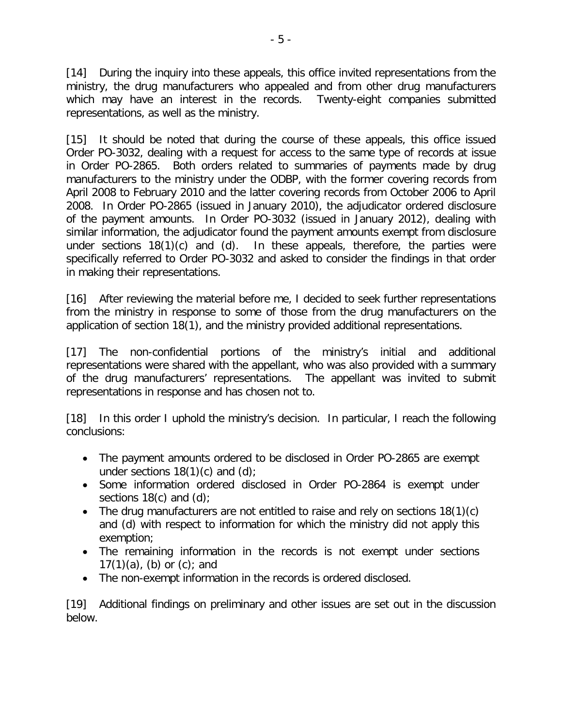[14] During the inquiry into these appeals, this office invited representations from the ministry, the drug manufacturers who appealed and from other drug manufacturers which may have an interest in the records. Twenty-eight companies submitted representations, as well as the ministry.

[15] It should be noted that during the course of these appeals, this office issued Order PO-3032, dealing with a request for access to the same type of records at issue in Order PO-2865. Both orders related to summaries of payments made by drug manufacturers to the ministry under the ODBP, with the former covering records from April 2008 to February 2010 and the latter covering records from October 2006 to April 2008. In Order PO-2865 (issued in January 2010), the adjudicator ordered disclosure of the payment amounts. In Order PO-3032 (issued in January 2012), dealing with similar information, the adjudicator found the payment amounts exempt from disclosure under sections 18(1)(c) and (d). In these appeals, therefore, the parties were specifically referred to Order PO-3032 and asked to consider the findings in that order in making their representations.

[16] After reviewing the material before me, I decided to seek further representations from the ministry in response to some of those from the drug manufacturers on the application of section 18(1), and the ministry provided additional representations.

[17] The non-confidential portions of the ministry's initial and additional representations were shared with the appellant, who was also provided with a summary of the drug manufacturers' representations. The appellant was invited to submit representations in response and has chosen not to.

[18] In this order I uphold the ministry's decision. In particular, I reach the following conclusions:

- The payment amounts ordered to be disclosed in Order PO-2865 are exempt under sections  $18(1)(c)$  and  $(d)$ ;
- Some information ordered disclosed in Order PO-2864 is exempt under sections  $18(c)$  and  $(d)$ ;
- The drug manufacturers are not entitled to raise and rely on sections 18(1)(c) and (d) with respect to information for which the ministry did not apply this exemption;
- The remaining information in the records is not exempt under sections  $17(1)(a)$ , (b) or (c); and
- The non-exempt information in the records is ordered disclosed.

[19] Additional findings on preliminary and other issues are set out in the discussion below.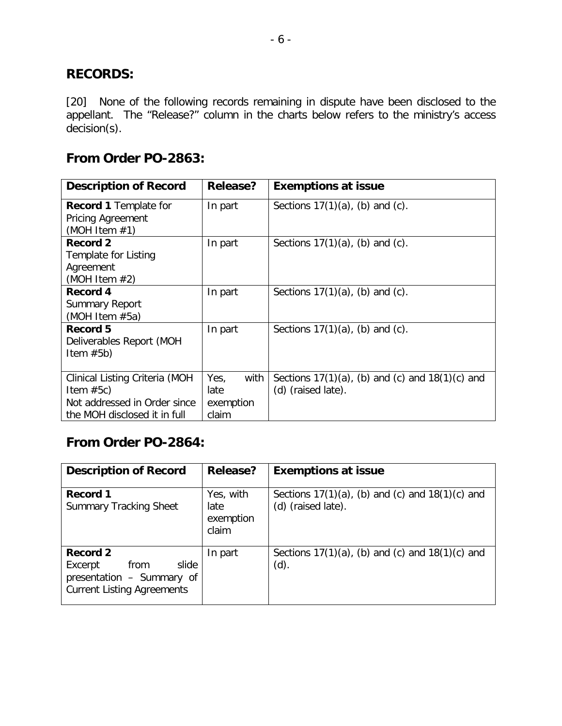# **RECORDS:**

[20] None of the following records remaining in dispute have been disclosed to the appellant. The "Release?" column in the charts below refers to the ministry's access decision(s).

# **From Order PO-2863:**

| <b>Description of Record</b>                                                                                  | Release?                                   | <b>Exemptions at issue</b>                                                 |
|---------------------------------------------------------------------------------------------------------------|--------------------------------------------|----------------------------------------------------------------------------|
| <b>Record 1 Template for</b><br>Pricing Agreement<br>(MOH Item $#1$ )                                         | In part                                    | Sections $17(1)(a)$ , (b) and (c).                                         |
| <b>Record 2</b><br>Template for Listing<br>Agreement<br>(MOH Item $#2$ )                                      | In part                                    | Sections $17(1)(a)$ , (b) and (c).                                         |
| Record 4<br><b>Summary Report</b><br>(MOH Item $#5a$ )                                                        | In part                                    | Sections $17(1)(a)$ , (b) and (c).                                         |
| Record 5<br>Deliverables Report (MOH<br>Item $#5b)$                                                           | In part                                    | Sections $17(1)(a)$ , (b) and (c).                                         |
| Clinical Listing Criteria (MOH<br>Item $#5c)$<br>Not addressed in Order since<br>the MOH disclosed it in full | with<br>Yes,<br>late<br>exemption<br>claim | Sections $17(1)(a)$ , (b) and (c) and $18(1)(c)$ and<br>(d) (raised late). |

# **From Order PO-2864:**

| <b>Description of Record</b>                                                                           | <b>Release?</b>                         | <b>Exemptions at issue</b>                                                 |
|--------------------------------------------------------------------------------------------------------|-----------------------------------------|----------------------------------------------------------------------------|
| Record 1<br><b>Summary Tracking Sheet</b>                                                              | Yes, with<br>late<br>exemption<br>claim | Sections $17(1)(a)$ , (b) and (c) and $18(1)(c)$ and<br>(d) (raised late). |
| Record 2<br>slide<br>from<br>Excerpt<br>presentation - Summary of<br><b>Current Listing Agreements</b> | In part                                 | Sections $17(1)(a)$ , (b) and (c) and $18(1)(c)$ and<br>(d).               |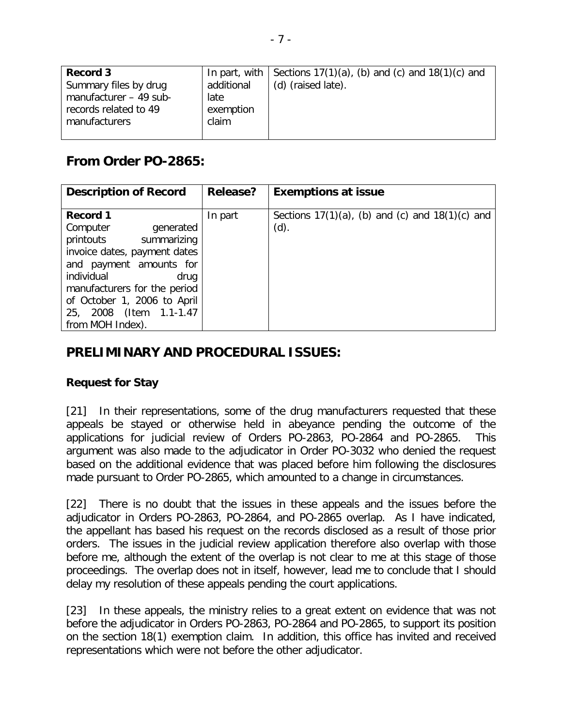| Record 3               |            | In part, with $\vert$ Sections 17(1)(a), (b) and (c) and 18(1)(c) and |
|------------------------|------------|-----------------------------------------------------------------------|
| Summary files by drug  | additional | (d) (raised late).                                                    |
| manufacturer - 49 sub- | late       |                                                                       |
| records related to 49  | exemption  |                                                                       |
| manufacturers          | claim      |                                                                       |
|                        |            |                                                                       |

# **From Order PO-2865:**

| <b>Description of Record</b>                                                                                                                                                                                                                                 | <b>Release?</b> | <b>Exemptions at issue</b>                                   |
|--------------------------------------------------------------------------------------------------------------------------------------------------------------------------------------------------------------------------------------------------------------|-----------------|--------------------------------------------------------------|
| Record 1<br>Computer<br>generated<br>printouts<br>summarizing<br>invoice dates, payment dates<br>and payment amounts for<br>individual<br>drug<br>manufacturers for the period<br>of October 1, 2006 to April<br>25, 2008 (Item 1.1-1.47<br>from MOH Index). | In part         | Sections $17(1)(a)$ , (b) and (c) and $18(1)(c)$ and<br>(d). |

# **PRELIMINARY AND PROCEDURAL ISSUES:**

#### **Request for Stay**

[21] In their representations, some of the drug manufacturers requested that these appeals be stayed or otherwise held in abeyance pending the outcome of the applications for judicial review of Orders PO-2863, PO-2864 and PO-2865. This argument was also made to the adjudicator in Order PO-3032 who denied the request based on the additional evidence that was placed before him following the disclosures made pursuant to Order PO-2865, which amounted to a change in circumstances.

[22] There is no doubt that the issues in these appeals and the issues before the adjudicator in Orders PO-2863, PO-2864, and PO-2865 overlap. As I have indicated, the appellant has based his request on the records disclosed as a result of those prior orders. The issues in the judicial review application therefore also overlap with those before me, although the extent of the overlap is not clear to me at this stage of those proceedings. The overlap does not in itself, however, lead me to conclude that I should delay my resolution of these appeals pending the court applications.

[23] In these appeals, the ministry relies to a great extent on evidence that was not before the adjudicator in Orders PO-2863, PO-2864 and PO-2865, to support its position on the section 18(1) exemption claim. In addition, this office has invited and received representations which were not before the other adjudicator.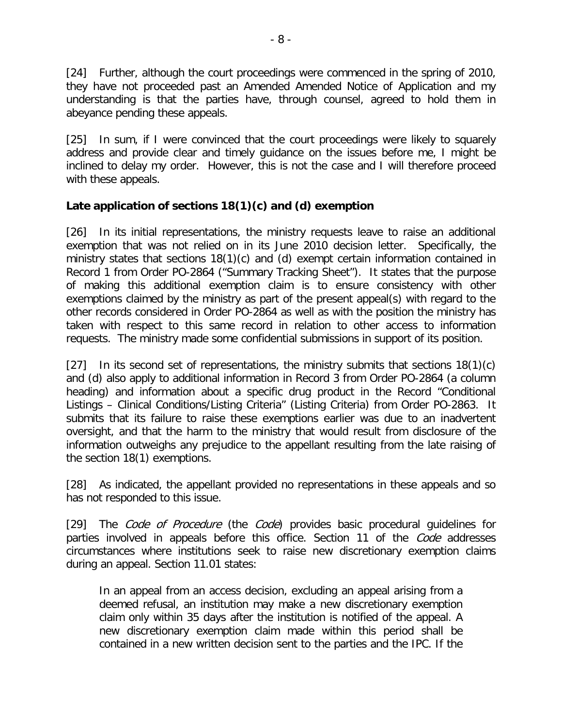[24] Further, although the court proceedings were commenced in the spring of 2010, they have not proceeded past an Amended Amended Notice of Application and my understanding is that the parties have, through counsel, agreed to hold them in abeyance pending these appeals.

[25] In sum, if I were convinced that the court proceedings were likely to squarely address and provide clear and timely guidance on the issues before me, I might be inclined to delay my order. However, this is not the case and I will therefore proceed with these appeals.

#### **Late application of sections 18(1)(c) and (d) exemption**

[26] In its initial representations, the ministry requests leave to raise an additional exemption that was not relied on in its June 2010 decision letter. Specifically, the ministry states that sections 18(1)(c) and (d) exempt certain information contained in Record 1 from Order PO-2864 ("Summary Tracking Sheet"). It states that the purpose of making this additional exemption claim is to ensure consistency with other exemptions claimed by the ministry as part of the present appeal(s) with regard to the other records considered in Order PO-2864 as well as with the position the ministry has taken with respect to this same record in relation to other access to information requests. The ministry made some confidential submissions in support of its position.

[27] In its second set of representations, the ministry submits that sections 18(1)(c) and (d) also apply to additional information in Record 3 from Order PO-2864 (a column heading) and information about a specific drug product in the Record "Conditional Listings – Clinical Conditions/Listing Criteria" (Listing Criteria) from Order PO-2863. It submits that its failure to raise these exemptions earlier was due to an inadvertent oversight, and that the harm to the ministry that would result from disclosure of the information outweighs any prejudice to the appellant resulting from the late raising of the section 18(1) exemptions.

[28] As indicated, the appellant provided no representations in these appeals and so has not responded to this issue.

[29] The Code of Procedure (the Code) provides basic procedural quidelines for parties involved in appeals before this office. Section 11 of the Code addresses circumstances where institutions seek to raise new discretionary exemption claims during an appeal. Section 11.01 states:

In an appeal from an access decision, excluding an appeal arising from a deemed refusal, an institution may make a new discretionary exemption claim only within 35 days after the institution is notified of the appeal. A new discretionary exemption claim made within this period shall be contained in a new written decision sent to the parties and the IPC. If the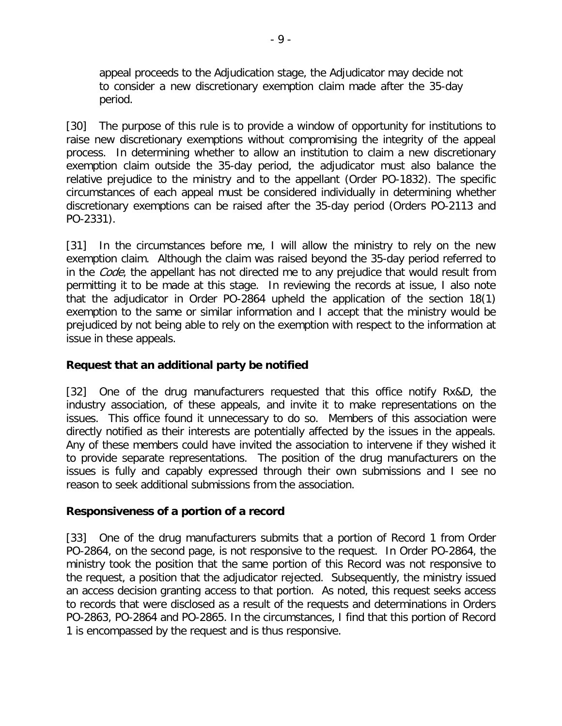appeal proceeds to the Adjudication stage, the Adjudicator may decide not to consider a new discretionary exemption claim made after the 35-day period.

[30] The purpose of this rule is to provide a window of opportunity for institutions to raise new discretionary exemptions without compromising the integrity of the appeal process. In determining whether to allow an institution to claim a new discretionary exemption claim outside the 35-day period, the adjudicator must also balance the relative prejudice to the ministry and to the appellant (Order PO-1832). The specific circumstances of each appeal must be considered individually in determining whether discretionary exemptions can be raised after the 35-day period (Orders PO-2113 and PO-2331).

[31] In the circumstances before me, I will allow the ministry to rely on the new exemption claim. Although the claim was raised beyond the 35-day period referred to in the *Code*, the appellant has not directed me to any prejudice that would result from permitting it to be made at this stage. In reviewing the records at issue, I also note that the adjudicator in Order PO-2864 upheld the application of the section 18(1) exemption to the same or similar information and I accept that the ministry would be prejudiced by not being able to rely on the exemption with respect to the information at issue in these appeals.

#### **Request that an additional party be notified**

[32] One of the drug manufacturers requested that this office notify Rx&D, the industry association, of these appeals, and invite it to make representations on the issues. This office found it unnecessary to do so. Members of this association were directly notified as their interests are potentially affected by the issues in the appeals. Any of these members could have invited the association to intervene if they wished it to provide separate representations. The position of the drug manufacturers on the issues is fully and capably expressed through their own submissions and I see no reason to seek additional submissions from the association.

#### **Responsiveness of a portion of a record**

[33] One of the drug manufacturers submits that a portion of Record 1 from Order PO-2864, on the second page, is not responsive to the request. In Order PO-2864, the ministry took the position that the same portion of this Record was not responsive to the request, a position that the adjudicator rejected. Subsequently, the ministry issued an access decision granting access to that portion. As noted, this request seeks access to records that were disclosed as a result of the requests and determinations in Orders PO-2863, PO-2864 and PO-2865. In the circumstances, I find that this portion of Record 1 is encompassed by the request and is thus responsive.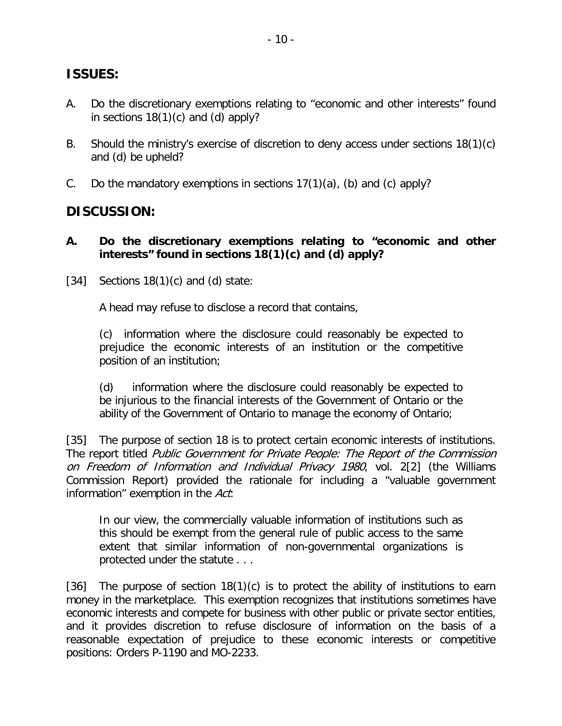# **ISSUES:**

- A. Do the discretionary exemptions relating to "economic and other interests" found in sections 18(1)(c) and (d) apply?
- B. Should the ministry's exercise of discretion to deny access under sections 18(1)(c) and (d) be upheld?
- C. Do the mandatory exemptions in sections  $17(1)(a)$ , (b) and (c) apply?

# **DISCUSSION:**

- **A. Do the discretionary exemptions relating to "economic and other interests" found in sections 18(1)(c) and (d) apply?**
- [34] Sections  $18(1)(c)$  and (d) state:

A head may refuse to disclose a record that contains,

(c) information where the disclosure could reasonably be expected to prejudice the economic interests of an institution or the competitive position of an institution;

(d) information where the disclosure could reasonably be expected to be injurious to the financial interests of the Government of Ontario or the ability of the Government of Ontario to manage the economy of Ontario;

[35] The purpose of section 18 is to protect certain economic interests of institutions. The report titled Public Government for Private People: The Report of the Commission on Freedom of Information and Individual Privacy 1980, vol. 2[2] (the Williams Commission Report) provided the rationale for including a "valuable government information" exemption in the Act:

In our view, the commercially valuable information of institutions such as this should be exempt from the general rule of public access to the same extent that similar information of non-governmental organizations is protected under the statute . . .

[36] The purpose of section  $18(1)(c)$  is to protect the ability of institutions to earn money in the marketplace. This exemption recognizes that institutions sometimes have economic interests and compete for business with other public or private sector entities, and it provides discretion to refuse disclosure of information on the basis of a reasonable expectation of prejudice to these economic interests or competitive positions: Orders P-1190 and MO-2233.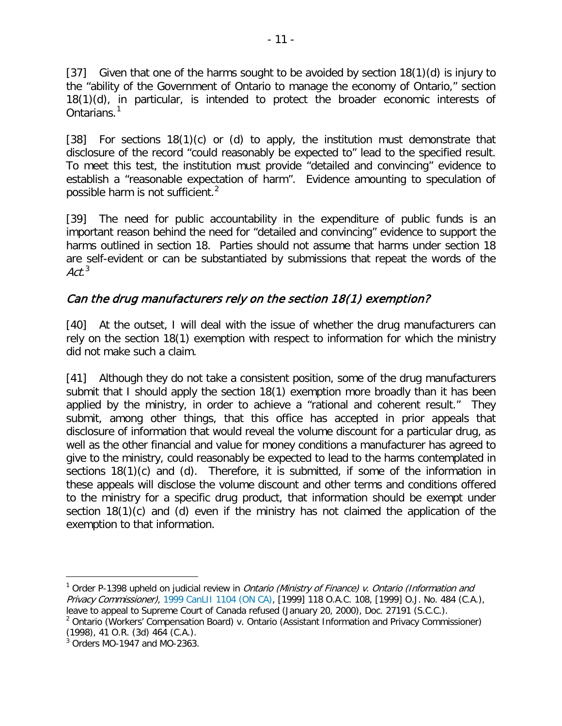[37] Given that one of the harms sought to be avoided by section 18(1)(d) is injury to the "ability of the Government of Ontario to manage the economy of Ontario," section 18(1)(d), in particular, is intended to protect the broader economic interests of Ontarians.<sup>[1](#page-10-0)</sup>

[38] For sections 18(1)(c) or (d) to apply, the institution must demonstrate that disclosure of the record "could reasonably be expected to" lead to the specified result. To meet this test, the institution must provide "detailed and convincing" evidence to establish a "reasonable expectation of harm". Evidence amounting to speculation of possible harm is not sufficient.<sup>[2](#page-10-1)</sup>

[39] The need for public accountability in the expenditure of public funds is an important reason behind the need for "detailed and convincing" evidence to support the harms outlined in section 18. Parties should not assume that harms under section 18 are self-evident or can be substantiated by submissions that repeat the words of the Act. $3$ 

# Can the drug manufacturers rely on the section 18(1) exemption?

[40] At the outset, I will deal with the issue of whether the drug manufacturers can rely on the section 18(1) exemption with respect to information for which the ministry did not make such a claim.

[41] Although they do not take a consistent position, some of the drug manufacturers submit that I should apply the section 18(1) exemption more broadly than it has been applied by the ministry, in order to achieve a "rational and coherent result." They submit, among other things, that this office has accepted in prior appeals that disclosure of information that would reveal the volume discount for a particular drug, as well as the other financial and value for money conditions a manufacturer has agreed to give to the ministry, could reasonably be expected to lead to the harms contemplated in sections 18(1)(c) and (d). Therefore, it is submitted, if some of the information in these appeals will disclose the volume discount and other terms and conditions offered to the ministry for a specific drug product, that information should be exempt under section 18(1)(c) and (d) even if the ministry has not claimed the application of the exemption to that information.

<span id="page-10-0"></span><sup>&</sup>lt;sup>1</sup> Order P-1398 upheld on judicial review in *Ontario (Ministry of Finance) v. Ontario (Information and* Privacy Commissioner), [1999 CanLII 1104 \(ON CA\),](http://canlii.org/en/on/onca/doc/1999/1999canlii1104/1999canlii1104.html) [1999] 118 O.A.C. 108, [1999] O.J. No. 484 (C.A.), leave to appeal to Supreme Court of Canada refused (January 20, 2000), Doc. 27191 (S.C.C.).

<span id="page-10-1"></span><sup>&</sup>lt;sup>2</sup> Ontario (Workers' Compensation Board) v. Ontario (Assistant Information and Privacy Commissioner) (1998), 41 O.R. (3d) 464 (C.A.).

<span id="page-10-2"></span> $3$  Orders MO-1947 and MO-2363.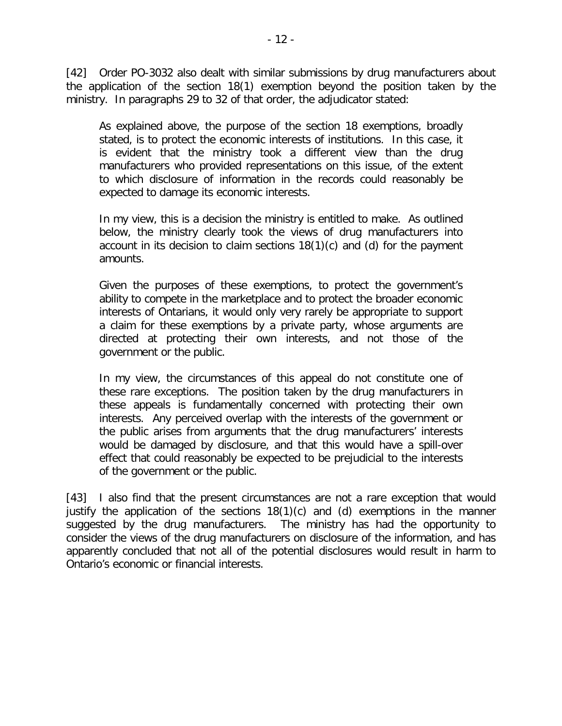[42] Order PO-3032 also dealt with similar submissions by drug manufacturers about the application of the section 18(1) exemption beyond the position taken by the ministry. In paragraphs 29 to 32 of that order, the adjudicator stated:

As explained above, the purpose of the section 18 exemptions, broadly stated, is to protect the economic interests of institutions. In this case, it is evident that the ministry took a different view than the drug manufacturers who provided representations on this issue, of the extent to which disclosure of information in the records could reasonably be expected to damage its economic interests.

In my view, this is a decision the ministry is entitled to make. As outlined below, the ministry clearly took the views of drug manufacturers into account in its decision to claim sections 18(1)(c) and (d) for the payment amounts.

Given the purposes of these exemptions, to protect the government's ability to compete in the marketplace and to protect the broader economic interests of Ontarians, it would only very rarely be appropriate to support a claim for these exemptions by a private party, whose arguments are directed at protecting their own interests, and not those of the government or the public.

In my view, the circumstances of this appeal do not constitute one of these rare exceptions. The position taken by the drug manufacturers in these appeals is fundamentally concerned with protecting their own interests. Any perceived overlap with the interests of the government or the public arises from arguments that the drug manufacturers' interests would be damaged by disclosure, and that this would have a spill-over effect that could reasonably be expected to be prejudicial to the interests of the government or the public.

[43] I also find that the present circumstances are not a rare exception that would justify the application of the sections 18(1)(c) and (d) exemptions in the manner suggested by the drug manufacturers. The ministry has had the opportunity to consider the views of the drug manufacturers on disclosure of the information, and has apparently concluded that not all of the potential disclosures would result in harm to Ontario's economic or financial interests.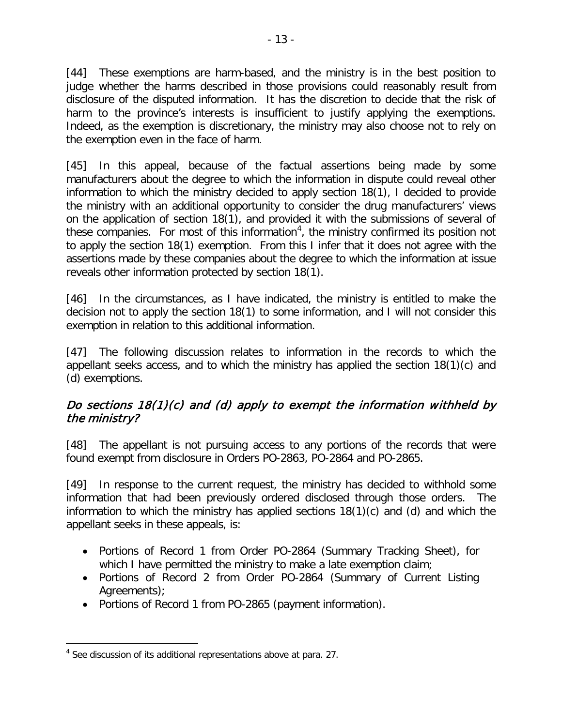[44] These exemptions are harm-based, and the ministry is in the best position to judge whether the harms described in those provisions could reasonably result from disclosure of the disputed information. It has the discretion to decide that the risk of harm to the province's interests is insufficient to justify applying the exemptions. Indeed, as the exemption is discretionary, the ministry may also choose not to rely on the exemption even in the face of harm.

[45] In this appeal, because of the factual assertions being made by some manufacturers about the degree to which the information in dispute could reveal other information to which the ministry decided to apply section 18(1), I decided to provide the ministry with an additional opportunity to consider the drug manufacturers' views on the application of section 18(1), and provided it with the submissions of several of these companies. For most of this information<sup>[4](#page-12-0)</sup>, the ministry confirmed its position not to apply the section 18(1) exemption. From this I infer that it does not agree with the assertions made by these companies about the degree to which the information at issue reveals other information protected by section 18(1).

[46] In the circumstances, as I have indicated, the ministry is entitled to make the decision not to apply the section 18(1) to some information, and I will not consider this exemption in relation to this additional information.

[47] The following discussion relates to information in the records to which the appellant seeks access, and to which the ministry has applied the section 18(1)(c) and (d) exemptions.

## Do sections  $18(1)(c)$  and (d) apply to exempt the information withheld by the ministry?

[48] The appellant is not pursuing access to any portions of the records that were found exempt from disclosure in Orders PO-2863, PO-2864 and PO-2865.

[49] In response to the current request, the ministry has decided to withhold some information that had been previously ordered disclosed through those orders. The information to which the ministry has applied sections 18(1)(c) and (d) and which the appellant seeks in these appeals, is:

- Portions of Record 1 from Order PO-2864 (Summary Tracking Sheet), for which I have permitted the ministry to make a late exemption claim;
- Portions of Record 2 from Order PO-2864 (Summary of Current Listing Agreements);
- Portions of Record 1 from PO-2865 (payment information).

<span id="page-12-0"></span><sup>&</sup>lt;sup>4</sup> See discussion of its additional representations above at para. 27.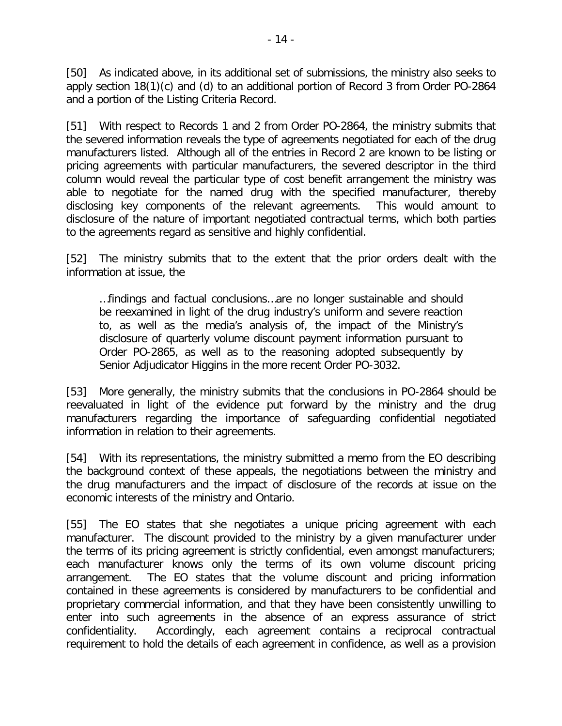[50] As indicated above, in its additional set of submissions, the ministry also seeks to apply section 18(1)(c) and (d) to an additional portion of Record 3 from Order PO-2864 and a portion of the Listing Criteria Record.

[51] With respect to Records 1 and 2 from Order PO-2864, the ministry submits that the severed information reveals the type of agreements negotiated for each of the drug manufacturers listed. Although all of the entries in Record 2 are known to be listing or pricing agreements with particular manufacturers, the severed descriptor in the third column would reveal the particular type of cost benefit arrangement the ministry was able to negotiate for the named drug with the specified manufacturer, thereby disclosing key components of the relevant agreements. This would amount to disclosure of the nature of important negotiated contractual terms, which both parties to the agreements regard as sensitive and highly confidential.

[52] The ministry submits that to the extent that the prior orders dealt with the information at issue, the

…findings and factual conclusions…are no longer sustainable and should be reexamined in light of the drug industry's uniform and severe reaction to, as well as the media's analysis of, the impact of the Ministry's disclosure of quarterly volume discount payment information pursuant to Order PO-2865, as well as to the reasoning adopted subsequently by Senior Adjudicator Higgins in the more recent Order PO-3032.

[53] More generally, the ministry submits that the conclusions in PO-2864 should be reevaluated in light of the evidence put forward by the ministry and the drug manufacturers regarding the importance of safeguarding confidential negotiated information in relation to their agreements.

[54] With its representations, the ministry submitted a memo from the EO describing the background context of these appeals, the negotiations between the ministry and the drug manufacturers and the impact of disclosure of the records at issue on the economic interests of the ministry and Ontario.

[55] The EO states that she negotiates a unique pricing agreement with each manufacturer. The discount provided to the ministry by a given manufacturer under the terms of its pricing agreement is strictly confidential, even amongst manufacturers; each manufacturer knows only the terms of its own volume discount pricing arrangement. The EO states that the volume discount and pricing information contained in these agreements is considered by manufacturers to be confidential and proprietary commercial information, and that they have been consistently unwilling to enter into such agreements in the absence of an express assurance of strict confidentiality. Accordingly, each agreement contains a reciprocal contractual requirement to hold the details of each agreement in confidence, as well as a provision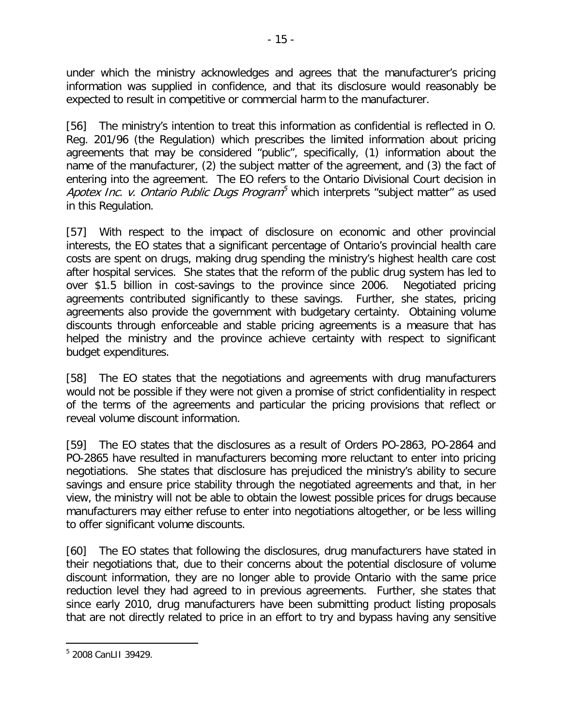under which the ministry acknowledges and agrees that the manufacturer's pricing information was supplied in confidence, and that its disclosure would reasonably be expected to result in competitive or commercial harm to the manufacturer.

[56] The ministry's intention to treat this information as confidential is reflected in O. Reg. 201/96 (the Regulation) which prescribes the limited information about pricing agreements that may be considered "public", specifically, (1) information about the name of the manufacturer, (2) the subject matter of the agreement, and (3) the fact of entering into the agreement. The EO refers to the Ontario Divisional Court decision in Apotex Inc. v. Ontario Public Dugs Program<sup>[5](#page-14-0)</sup> which interprets "subject matter" as used in this Regulation.

[57] With respect to the impact of disclosure on economic and other provincial interests, the EO states that a significant percentage of Ontario's provincial health care costs are spent on drugs, making drug spending the ministry's highest health care cost after hospital services. She states that the reform of the public drug system has led to over \$1.5 billion in cost-savings to the province since 2006. Negotiated pricing agreements contributed significantly to these savings. Further, she states, pricing agreements also provide the government with budgetary certainty. Obtaining volume discounts through enforceable and stable pricing agreements is a measure that has helped the ministry and the province achieve certainty with respect to significant budget expenditures.

[58] The EO states that the negotiations and agreements with drug manufacturers would not be possible if they were not given a promise of strict confidentiality in respect of the terms of the agreements and particular the pricing provisions that reflect or reveal volume discount information.

[59] The EO states that the disclosures as a result of Orders PO-2863, PO-2864 and PO-2865 have resulted in manufacturers becoming more reluctant to enter into pricing negotiations. She states that disclosure has prejudiced the ministry's ability to secure savings and ensure price stability through the negotiated agreements and that, in her view, the ministry will not be able to obtain the lowest possible prices for drugs because manufacturers may either refuse to enter into negotiations altogether, or be less willing to offer significant volume discounts.

[60] The EO states that following the disclosures, drug manufacturers have stated in their negotiations that, due to their concerns about the potential disclosure of volume discount information, they are no longer able to provide Ontario with the same price reduction level they had agreed to in previous agreements. Further, she states that since early 2010, drug manufacturers have been submitting product listing proposals that are not directly related to price in an effort to try and bypass having any sensitive

<span id="page-14-0"></span> $\overline{a}$ <sup>5</sup> 2008 CanLII 39429.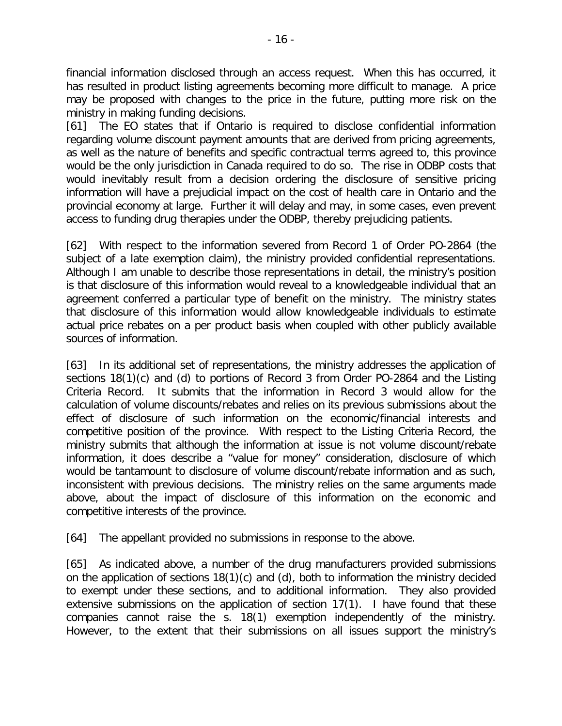financial information disclosed through an access request. When this has occurred, it has resulted in product listing agreements becoming more difficult to manage. A price may be proposed with changes to the price in the future, putting more risk on the ministry in making funding decisions.

[61] The EO states that if Ontario is required to disclose confidential information regarding volume discount payment amounts that are derived from pricing agreements, as well as the nature of benefits and specific contractual terms agreed to, this province would be the only jurisdiction in Canada required to do so. The rise in ODBP costs that would inevitably result from a decision ordering the disclosure of sensitive pricing information will have a prejudicial impact on the cost of health care in Ontario and the provincial economy at large. Further it will delay and may, in some cases, even prevent access to funding drug therapies under the ODBP, thereby prejudicing patients.

[62] With respect to the information severed from Record 1 of Order PO-2864 (the subject of a late exemption claim), the ministry provided confidential representations. Although I am unable to describe those representations in detail, the ministry's position is that disclosure of this information would reveal to a knowledgeable individual that an agreement conferred a particular type of benefit on the ministry. The ministry states that disclosure of this information would allow knowledgeable individuals to estimate actual price rebates on a per product basis when coupled with other publicly available sources of information.

[63] In its additional set of representations, the ministry addresses the application of sections 18(1)(c) and (d) to portions of Record 3 from Order PO-2864 and the Listing Criteria Record. It submits that the information in Record 3 would allow for the calculation of volume discounts/rebates and relies on its previous submissions about the effect of disclosure of such information on the economic/financial interests and competitive position of the province. With respect to the Listing Criteria Record, the ministry submits that although the information at issue is not volume discount/rebate information, it does describe a "value for money" consideration, disclosure of which would be tantamount to disclosure of volume discount/rebate information and as such, inconsistent with previous decisions. The ministry relies on the same arguments made above, about the impact of disclosure of this information on the economic and competitive interests of the province.

[64] The appellant provided no submissions in response to the above.

[65] As indicated above, a number of the drug manufacturers provided submissions on the application of sections 18(1)(c) and (d), both to information the ministry decided to exempt under these sections, and to additional information. They also provided extensive submissions on the application of section 17(1). I have found that these companies cannot raise the s. 18(1) exemption independently of the ministry. However, to the extent that their submissions on all issues support the ministry's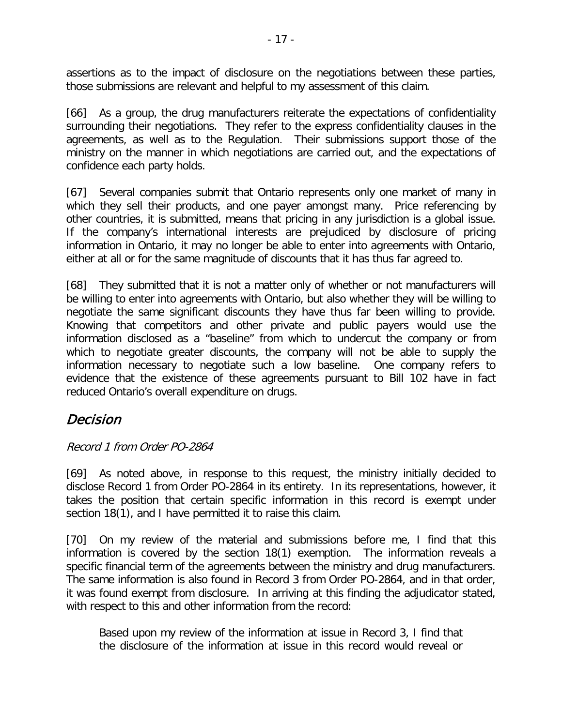assertions as to the impact of disclosure on the negotiations between these parties, those submissions are relevant and helpful to my assessment of this claim.

[66] As a group, the drug manufacturers reiterate the expectations of confidentiality surrounding their negotiations. They refer to the express confidentiality clauses in the agreements, as well as to the Regulation. Their submissions support those of the ministry on the manner in which negotiations are carried out, and the expectations of confidence each party holds.

[67] Several companies submit that Ontario represents only one market of many in which they sell their products, and one payer amongst many. Price referencing by other countries, it is submitted, means that pricing in any jurisdiction is a global issue. If the company's international interests are prejudiced by disclosure of pricing information in Ontario, it may no longer be able to enter into agreements with Ontario, either at all or for the same magnitude of discounts that it has thus far agreed to.

[68] They submitted that it is not a matter only of whether or not manufacturers will be willing to enter into agreements with Ontario, but also whether they will be willing to negotiate the same significant discounts they have thus far been willing to provide. Knowing that competitors and other private and public payers would use the information disclosed as a "baseline" from which to undercut the company or from which to negotiate greater discounts, the company will not be able to supply the information necessary to negotiate such a low baseline. One company refers to evidence that the existence of these agreements pursuant to Bill 102 have in fact reduced Ontario's overall expenditure on drugs.

# Decision

## Record 1 from Order PO-2864

[69] As noted above, in response to this request, the ministry initially decided to disclose Record 1 from Order PO-2864 in its entirety. In its representations, however, it takes the position that certain specific information in this record is exempt under section 18(1), and I have permitted it to raise this claim.

[70] On my review of the material and submissions before me, I find that this information is covered by the section 18(1) exemption. The information reveals a specific financial term of the agreements between the ministry and drug manufacturers. The same information is also found in Record 3 from Order PO-2864, and in that order, it was found exempt from disclosure. In arriving at this finding the adjudicator stated, with respect to this and other information from the record:

Based upon my review of the information at issue in Record 3, I find that the disclosure of the information at issue in this record would reveal or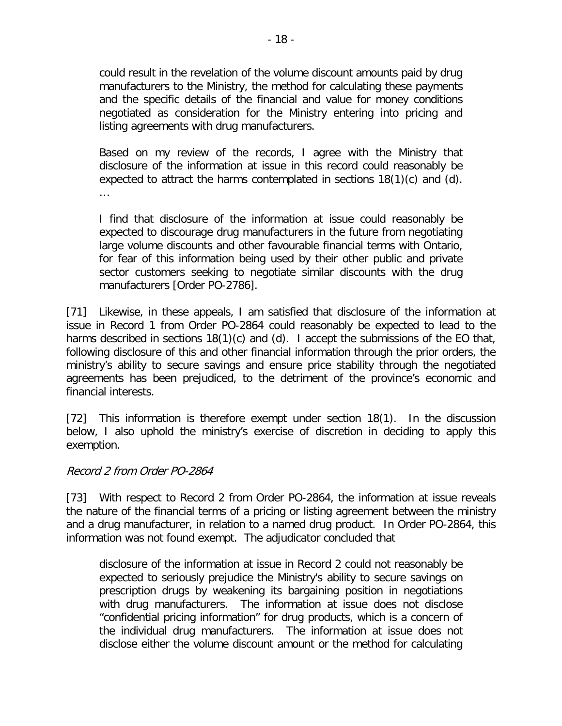could result in the revelation of the volume discount amounts paid by drug manufacturers to the Ministry, the method for calculating these payments and the specific details of the financial and value for money conditions negotiated as consideration for the Ministry entering into pricing and listing agreements with drug manufacturers.

Based on my review of the records, I agree with the Ministry that disclosure of the information at issue in this record could reasonably be expected to attract the harms contemplated in sections 18(1)(c) and (d). …

I find that disclosure of the information at issue could reasonably be expected to discourage drug manufacturers in the future from negotiating large volume discounts and other favourable financial terms with Ontario, for fear of this information being used by their other public and private sector customers seeking to negotiate similar discounts with the drug manufacturers [Order PO-2786].

[71] Likewise, in these appeals, I am satisfied that disclosure of the information at issue in Record 1 from Order PO-2864 could reasonably be expected to lead to the harms described in sections 18(1)(c) and (d). I accept the submissions of the EO that, following disclosure of this and other financial information through the prior orders, the ministry's ability to secure savings and ensure price stability through the negotiated agreements has been prejudiced, to the detriment of the province's economic and financial interests.

[72] This information is therefore exempt under section 18(1). In the discussion below, I also uphold the ministry's exercise of discretion in deciding to apply this exemption.

#### Record 2 from Order PO-2864

[73] With respect to Record 2 from Order PO-2864, the information at issue reveals the nature of the financial terms of a pricing or listing agreement between the ministry and a drug manufacturer, in relation to a named drug product. In Order PO-2864, this information was not found exempt. The adjudicator concluded that

disclosure of the information at issue in Record 2 could not reasonably be expected to seriously prejudice the Ministry's ability to secure savings on prescription drugs by weakening its bargaining position in negotiations with drug manufacturers. The information at issue does not disclose "confidential pricing information" for drug products, which is a concern of the individual drug manufacturers. The information at issue does not disclose either the volume discount amount or the method for calculating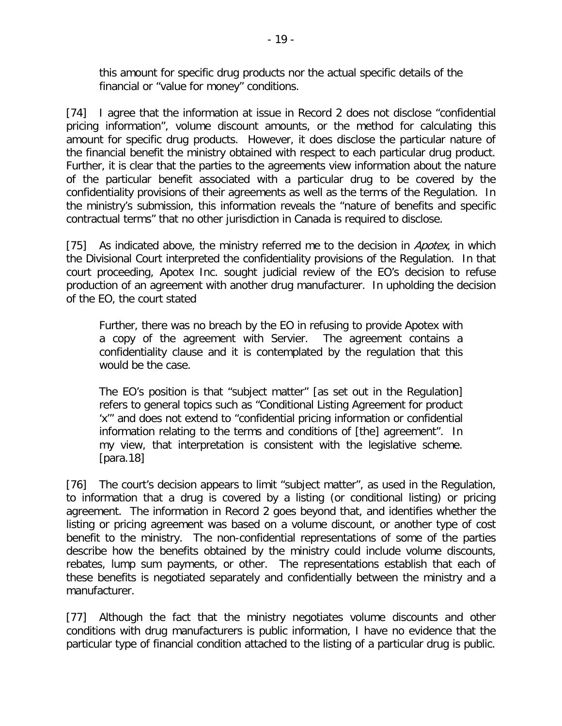this amount for specific drug products nor the actual specific details of the financial or "value for money" conditions.

[74] I agree that the information at issue in Record 2 does not disclose "confidential pricing information", volume discount amounts, or the method for calculating this amount for specific drug products. However, it does disclose the particular nature of the financial benefit the ministry obtained with respect to each particular drug product. Further, it is clear that the parties to the agreements view information about the nature of the particular benefit associated with a particular drug to be covered by the confidentiality provisions of their agreements as well as the terms of the Regulation. In the ministry's submission, this information reveals the "nature of benefits and specific contractual terms" that no other jurisdiction in Canada is required to disclose.

[75] As indicated above, the ministry referred me to the decision in Apotex, in which the Divisional Court interpreted the confidentiality provisions of the Regulation. In that court proceeding, Apotex Inc. sought judicial review of the EO's decision to refuse production of an agreement with another drug manufacturer. In upholding the decision of the EO, the court stated

Further, there was no breach by the EO in refusing to provide Apotex with a copy of the agreement with Servier. The agreement contains a confidentiality clause and it is contemplated by the regulation that this would be the case.

The EO's position is that "subject matter" [as set out in the Regulation] refers to general topics such as "Conditional Listing Agreement for product 'x'" and does not extend to "confidential pricing information or confidential information relating to the terms and conditions of [the] agreement". In my view, that interpretation is consistent with the legislative scheme. [para.18]

[76] The court's decision appears to limit "subject matter", as used in the Regulation, to information that a drug is covered by a listing (or conditional listing) or pricing agreement. The information in Record 2 goes beyond that, and identifies whether the listing or pricing agreement was based on a volume discount, or another type of cost benefit to the ministry. The non-confidential representations of some of the parties describe how the benefits obtained by the ministry could include volume discounts, rebates, lump sum payments, or other. The representations establish that each of these benefits is negotiated separately and confidentially between the ministry and a manufacturer.

[77] Although the fact that the ministry negotiates volume discounts and other conditions with drug manufacturers is public information, I have no evidence that the particular type of financial condition attached to the listing of a particular drug is public.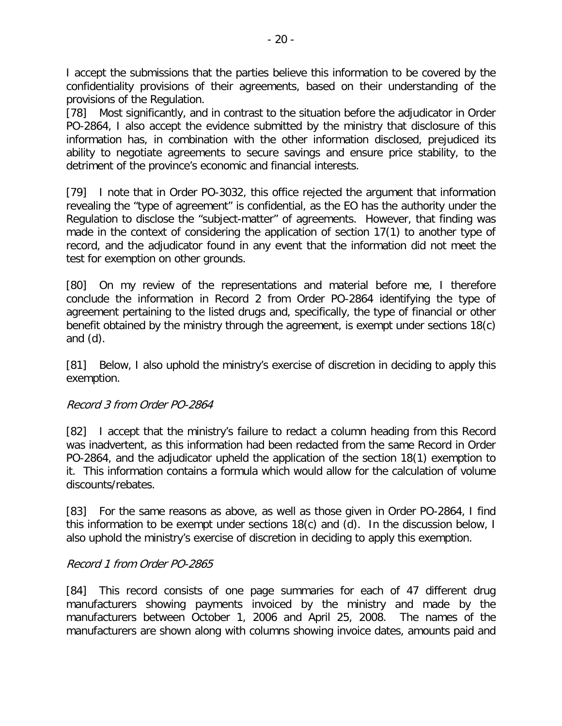I accept the submissions that the parties believe this information to be covered by the confidentiality provisions of their agreements, based on their understanding of the provisions of the Regulation.

[78] Most significantly, and in contrast to the situation before the adjudicator in Order PO-2864, I also accept the evidence submitted by the ministry that disclosure of this information has, in combination with the other information disclosed, prejudiced its ability to negotiate agreements to secure savings and ensure price stability, to the detriment of the province's economic and financial interests.

[79] I note that in Order PO-3032, this office rejected the argument that information revealing the "type of agreement" is confidential, as the EO has the authority under the Regulation to disclose the "subject-matter" of agreements. However, that finding was made in the context of considering the application of section 17(1) to another type of record, and the adjudicator found in any event that the information did not meet the test for exemption on other grounds.

[80] On my review of the representations and material before me, I therefore conclude the information in Record 2 from Order PO-2864 identifying the type of agreement pertaining to the listed drugs and, specifically, the type of financial or other benefit obtained by the ministry through the agreement, is exempt under sections 18(c) and (d).

[81] Below, I also uphold the ministry's exercise of discretion in deciding to apply this exemption.

#### Record 3 from Order PO-2864

[82] I accept that the ministry's failure to redact a column heading from this Record was inadvertent, as this information had been redacted from the same Record in Order PO-2864, and the adjudicator upheld the application of the section 18(1) exemption to it. This information contains a formula which would allow for the calculation of volume discounts/rebates.

[83] For the same reasons as above, as well as those given in Order PO-2864, I find this information to be exempt under sections 18(c) and (d). In the discussion below, I also uphold the ministry's exercise of discretion in deciding to apply this exemption.

#### Record 1 from Order PO-2865

[84] This record consists of one page summaries for each of 47 different drug manufacturers showing payments invoiced by the ministry and made by the manufacturers between October 1, 2006 and April 25, 2008. The names of the manufacturers are shown along with columns showing invoice dates, amounts paid and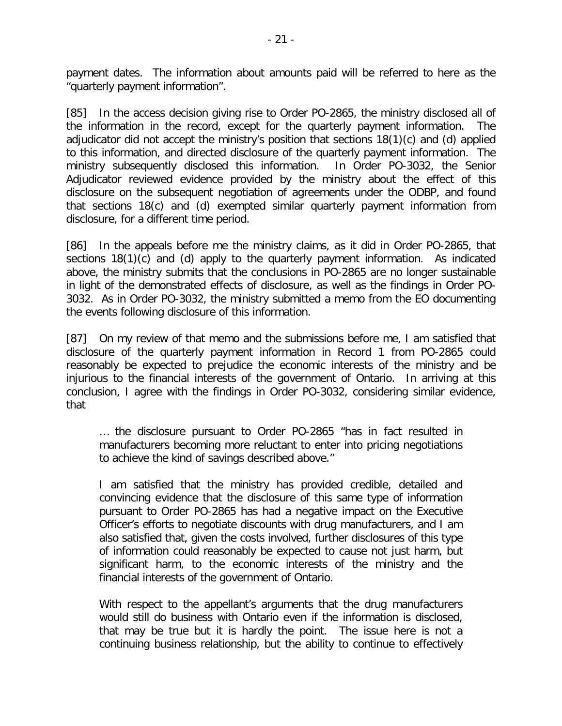payment dates. The information about amounts paid will be referred to here as the "quarterly payment information".

[85] In the access decision giving rise to Order PO-2865, the ministry disclosed all of the information in the record, except for the quarterly payment information. The adjudicator did not accept the ministry's position that sections 18(1)(c) and (d) applied to this information, and directed disclosure of the quarterly payment information. The ministry subsequently disclosed this information. In Order PO-3032, the Senior Adjudicator reviewed evidence provided by the ministry about the effect of this disclosure on the subsequent negotiation of agreements under the ODBP, and found that sections 18(c) and (d) exempted similar quarterly payment information from disclosure, for a different time period.

[86] In the appeals before me the ministry claims, as it did in Order PO-2865, that sections 18(1)(c) and (d) apply to the quarterly payment information. As indicated above, the ministry submits that the conclusions in PO-2865 are no longer sustainable in light of the demonstrated effects of disclosure, as well as the findings in Order PO-3032. As in Order PO-3032, the ministry submitted a memo from the EO documenting the events following disclosure of this information.

[87] On my review of that memo and the submissions before me, I am satisfied that disclosure of the quarterly payment information in Record 1 from PO-2865 could reasonably be expected to prejudice the economic interests of the ministry and be injurious to the financial interests of the government of Ontario. In arriving at this conclusion, I agree with the findings in Order PO-3032, considering similar evidence, that

… the disclosure pursuant to Order PO-2865 "has in fact resulted in manufacturers becoming more reluctant to enter into pricing negotiations to achieve the kind of savings described above."

I am satisfied that the ministry has provided credible, detailed and convincing evidence that the disclosure of this same type of information pursuant to Order PO-2865 has had a negative impact on the Executive Officer's efforts to negotiate discounts with drug manufacturers, and I am also satisfied that, given the costs involved, further disclosures of this type of information could reasonably be expected to cause not just harm, but significant harm, to the economic interests of the ministry and the financial interests of the government of Ontario.

With respect to the appellant's arguments that the drug manufacturers would still do business with Ontario even if the information is disclosed, that may be true but it is hardly the point. The issue here is not a continuing business relationship, but the ability to continue to effectively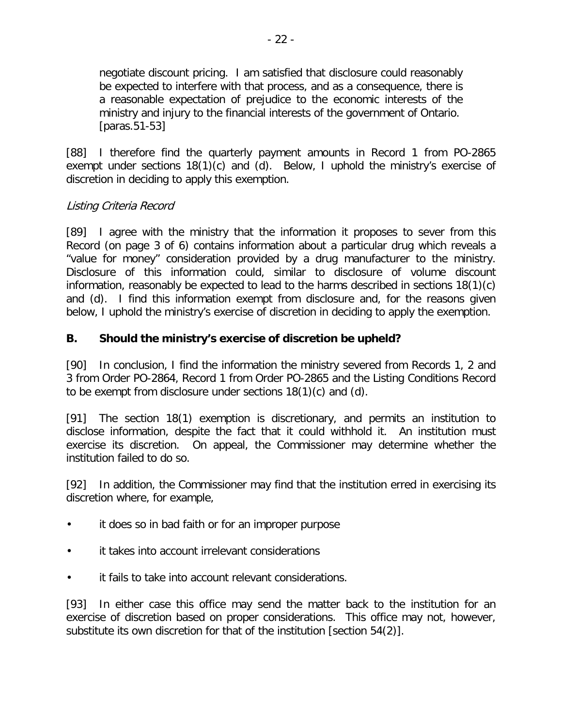negotiate discount pricing. I am satisfied that disclosure could reasonably be expected to interfere with that process, and as a consequence, there is a reasonable expectation of prejudice to the economic interests of the ministry and injury to the financial interests of the government of Ontario. [paras.51-53]

[88] I therefore find the quarterly payment amounts in Record 1 from PO-2865 exempt under sections 18(1)(c) and (d). Below, I uphold the ministry's exercise of discretion in deciding to apply this exemption.

## Listing Criteria Record

[89] I agree with the ministry that the information it proposes to sever from this Record (on page 3 of 6) contains information about a particular drug which reveals a "value for money" consideration provided by a drug manufacturer to the ministry. Disclosure of this information could, similar to disclosure of volume discount information, reasonably be expected to lead to the harms described in sections 18(1)(c) and (d). I find this information exempt from disclosure and, for the reasons given below, I uphold the ministry's exercise of discretion in deciding to apply the exemption.

## **B. Should the ministry's exercise of discretion be upheld?**

[90] In conclusion, I find the information the ministry severed from Records 1, 2 and 3 from Order PO-2864, Record 1 from Order PO-2865 and the Listing Conditions Record to be exempt from disclosure under sections 18(1)(c) and (d).

[91] The section 18(1) exemption is discretionary, and permits an institution to disclose information, despite the fact that it could withhold it. An institution must exercise its discretion. On appeal, the Commissioner may determine whether the institution failed to do so.

[92] In addition, the Commissioner may find that the institution erred in exercising its discretion where, for example,

- it does so in bad faith or for an improper purpose
- it takes into account irrelevant considerations
- it fails to take into account relevant considerations.

[93] In either case this office may send the matter back to the institution for an exercise of discretion based on proper considerations. This office may not, however, substitute its own discretion for that of the institution [section 54(2)].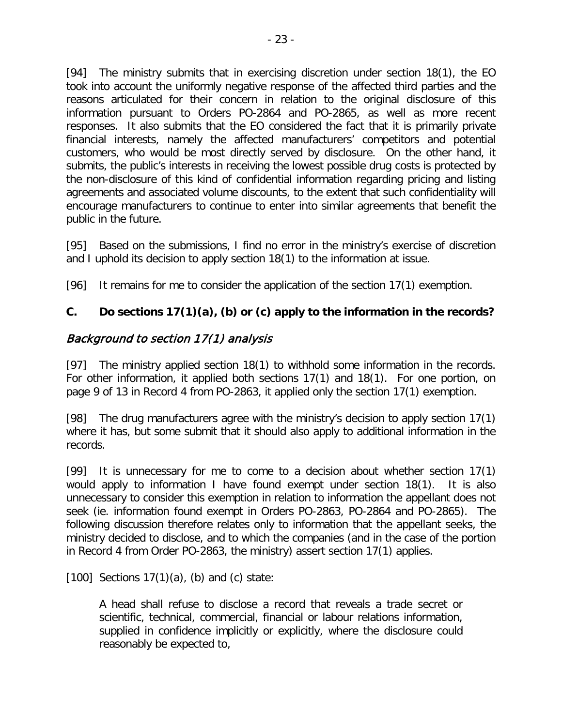[94] The ministry submits that in exercising discretion under section 18(1), the EO took into account the uniformly negative response of the affected third parties and the reasons articulated for their concern in relation to the original disclosure of this information pursuant to Orders PO-2864 and PO-2865, as well as more recent responses. It also submits that the EO considered the fact that it is primarily private financial interests, namely the affected manufacturers' competitors and potential customers, who would be most directly served by disclosure. On the other hand, it submits, the public's interests in receiving the lowest possible drug costs is protected by the non-disclosure of this kind of confidential information regarding pricing and listing agreements and associated volume discounts, to the extent that such confidentiality will encourage manufacturers to continue to enter into similar agreements that benefit the public in the future.

[95] Based on the submissions, I find no error in the ministry's exercise of discretion and I uphold its decision to apply section 18(1) to the information at issue.

[96] It remains for me to consider the application of the section 17(1) exemption.

# **C. Do sections 17(1)(a), (b) or (c) apply to the information in the records?**

# Background to section 17(1) analysis

[97] The ministry applied section 18(1) to withhold some information in the records. For other information, it applied both sections 17(1) and 18(1). For one portion, on page 9 of 13 in Record 4 from PO-2863, it applied only the section 17(1) exemption.

[98] The drug manufacturers agree with the ministry's decision to apply section 17(1) where it has, but some submit that it should also apply to additional information in the records.

[99] It is unnecessary for me to come to a decision about whether section 17(1) would apply to information I have found exempt under section 18(1). It is also unnecessary to consider this exemption in relation to information the appellant does not seek (ie. information found exempt in Orders PO-2863, PO-2864 and PO-2865). The following discussion therefore relates only to information that the appellant seeks, the ministry decided to disclose, and to which the companies (and in the case of the portion in Record 4 from Order PO-2863, the ministry) assert section 17(1) applies.

 $[100]$  Sections 17(1)(a), (b) and (c) state:

A head shall refuse to disclose a record that reveals a trade secret or scientific, technical, commercial, financial or labour relations information, supplied in confidence implicitly or explicitly, where the disclosure could reasonably be expected to,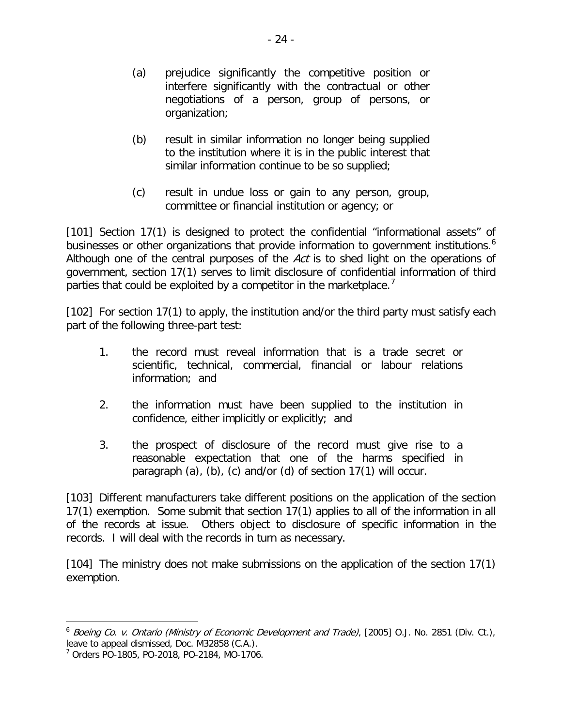- (a) prejudice significantly the competitive position or interfere significantly with the contractual or other negotiations of a person, group of persons, or organization;
- (b) result in similar information no longer being supplied to the institution where it is in the public interest that similar information continue to be so supplied;
- (c) result in undue loss or gain to any person, group, committee or financial institution or agency; or

[101] Section 17(1) is designed to protect the confidential "informational assets" of businesses or other organizations that provide information to government institutions.<sup>[6](#page-23-0)</sup> Although one of the central purposes of the Act is to shed light on the operations of government, section 17(1) serves to limit disclosure of confidential information of third parties that could be exploited by a competitor in the marketplace.

[102] For section 17(1) to apply, the institution and/or the third party must satisfy each part of the following three-part test:

- 1. the record must reveal information that is a trade secret or scientific, technical, commercial, financial or labour relations information; and
- 2. the information must have been supplied to the institution in confidence, either implicitly or explicitly; and
- 3. the prospect of disclosure of the record must give rise to a reasonable expectation that one of the harms specified in paragraph (a), (b), (c) and/or (d) of section 17(1) will occur.

[103] Different manufacturers take different positions on the application of the section 17(1) exemption. Some submit that section 17(1) applies to all of the information in all of the records at issue. Others object to disclosure of specific information in the records. I will deal with the records in turn as necessary.

[104] The ministry does not make submissions on the application of the section 17(1) exemption.

<span id="page-23-0"></span><sup>6</sup> Boeing Co. v. Ontario (Ministry of Economic Development and Trade), [2005] O.J. No. 2851 (Div. Ct.), leave to appeal dismissed, Doc. M32858 (C.A.).

<span id="page-23-1"></span><sup>7</sup> Orders PO-1805, PO-2018, PO-2184, MO-1706.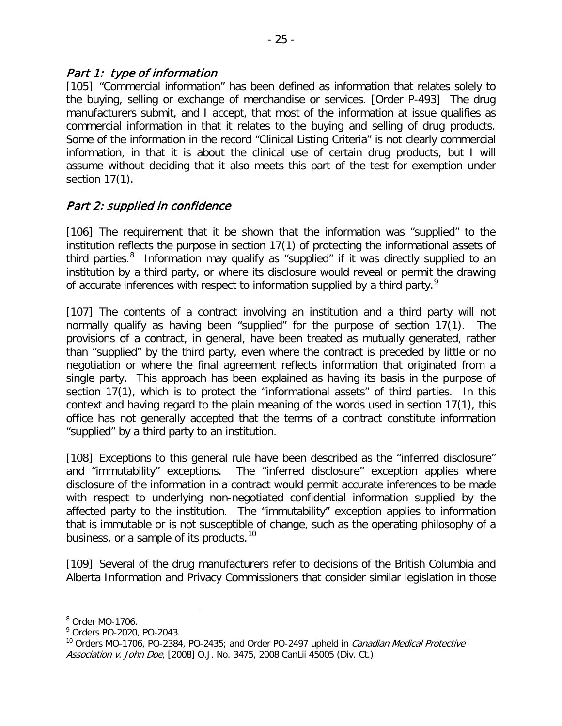#### Part 1: type of information

[105] "Commercial information" has been defined as information that relates solely to the buying, selling or exchange of merchandise or services. [Order P-493] The drug manufacturers submit, and I accept, that most of the information at issue qualifies as commercial information in that it relates to the buying and selling of drug products. Some of the information in the record "Clinical Listing Criteria" is not clearly commercial information, in that it is about the clinical use of certain drug products, but I will assume without deciding that it also meets this part of the test for exemption under section 17(1).

## Part 2: supplied in confidence

[106] The requirement that it be shown that the information was "supplied" to the institution reflects the purpose in section 17(1) of protecting the informational assets of third parties.<sup>[8](#page-24-0)</sup> Information may qualify as "supplied" if it was directly supplied to an institution by a third party, or where its disclosure would reveal or permit the drawing of accurate inferences with respect to information supplied by a third party.<sup>[9](#page-24-1)</sup>

[107] The contents of a contract involving an institution and a third party will not normally qualify as having been "supplied" for the purpose of section 17(1). The provisions of a contract, in general, have been treated as mutually generated, rather than "supplied" by the third party, even where the contract is preceded by little or no negotiation or where the final agreement reflects information that originated from a single party. This approach has been explained as having its basis in the purpose of section 17(1), which is to protect the "informational assets" of third parties. In this context and having regard to the plain meaning of the words used in section 17(1), this office has not generally accepted that the terms of a contract constitute information "supplied" by a third party to an institution.

[108] Exceptions to this general rule have been described as the "inferred disclosure" and "immutability" exceptions. The "inferred disclosure" exception applies where disclosure of the information in a contract would permit accurate inferences to be made with respect to underlying non-negotiated confidential information supplied by the affected party to the institution. The "immutability" exception applies to information that is immutable or is not susceptible of change, such as the operating philosophy of a business, or a sample of its products.<sup>[10](#page-24-2)</sup>

[109] Several of the drug manufacturers refer to decisions of the British Columbia and Alberta Information and Privacy Commissioners that consider similar legislation in those

<span id="page-24-0"></span><sup>8</sup> Order MO-1706.

<span id="page-24-1"></span><sup>9</sup> Orders PO-2020, PO-2043.

<span id="page-24-2"></span> $10$  Orders MO-1706, PO-2384, PO-2435; and Order PO-2497 upheld in *Canadian Medical Protective* Association v. John Doe, [2008] O.J. No. 3475, 2008 CanLii 45005 (Div. Ct.).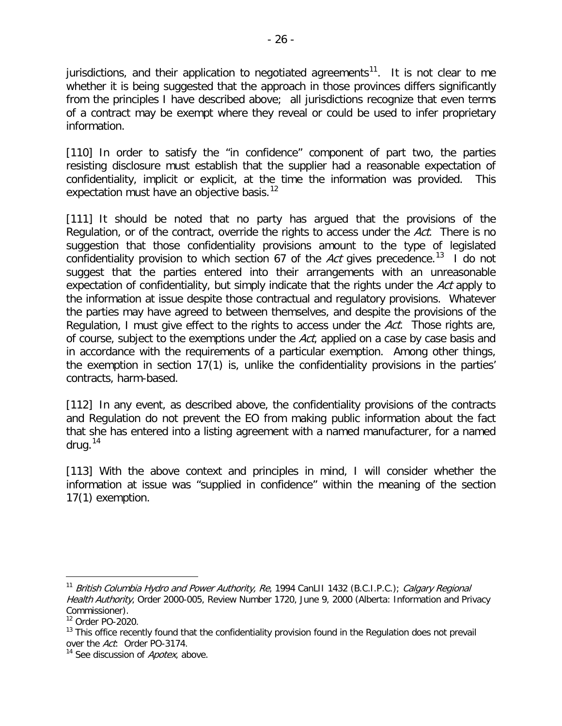jurisdictions, and their application to negotiated agreements<sup>[11](#page-25-0)</sup>. It is not clear to me whether it is being suggested that the approach in those provinces differs significantly from the principles I have described above; all jurisdictions recognize that even terms of a contract may be exempt where they reveal or could be used to infer proprietary information.

[110] In order to satisfy the "in confidence" component of part two, the parties resisting disclosure must establish that the supplier had a reasonable expectation of confidentiality, implicit or explicit, at the time the information was provided. This expectation must have an objective basis.<sup>[12](#page-25-1)</sup>

[111] It should be noted that no party has argued that the provisions of the Regulation, or of the contract, override the rights to access under the Act. There is no suggestion that those confidentiality provisions amount to the type of legislated confidentiality provision to which section 67 of the Act gives precedence.<sup>13</sup> I do not suggest that the parties entered into their arrangements with an unreasonable expectation of confidentiality, but simply indicate that the rights under the Act apply to the information at issue despite those contractual and regulatory provisions. Whatever the parties may have agreed to between themselves, and despite the provisions of the Regulation, I must give effect to the rights to access under the Act. Those rights are, of course, subject to the exemptions under the Act, applied on a case by case basis and in accordance with the requirements of a particular exemption. Among other things, the exemption in section 17(1) is, unlike the confidentiality provisions in the parties' contracts, harm-based.

[112] In any event, as described above, the confidentiality provisions of the contracts and Regulation do not prevent the EO from making public information about the fact that she has entered into a listing agreement with a named manufacturer, for a named drug. $14$ 

[113] With the above context and principles in mind, I will consider whether the information at issue was "supplied in confidence" within the meaning of the section 17(1) exemption.

<span id="page-25-0"></span><sup>&</sup>lt;sup>11</sup> British Columbia Hydro and Power Authority, Re, 1994 CanLII 1432 (B.C.I.P.C.); Calgary Regional Health Authority, Order 2000-005, Review Number 1720, June 9, 2000 (Alberta: Information and Privacy Commissioner).

<span id="page-25-1"></span><sup>12</sup> Order PO-2020.

<span id="page-25-2"></span> $13$  This office recently found that the confidentiality provision found in the Regulation does not prevail over the Act: Order PO-3174.

<span id="page-25-3"></span><sup>&</sup>lt;sup>14</sup> See discussion of *Apotex*, above.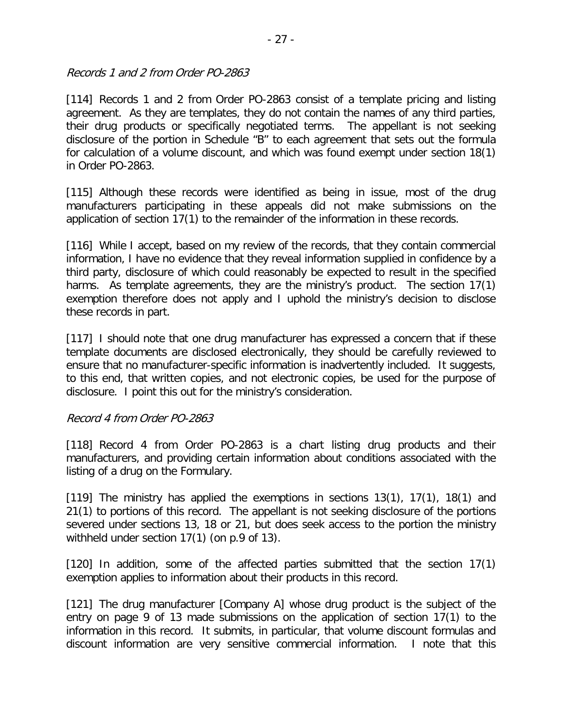Records 1 and 2 from Order PO-2863

[114] Records 1 and 2 from Order PO-2863 consist of a template pricing and listing agreement. As they are templates, they do not contain the names of any third parties, their drug products or specifically negotiated terms. The appellant is not seeking disclosure of the portion in Schedule "B" to each agreement that sets out the formula for calculation of a volume discount, and which was found exempt under section 18(1) in Order PO-2863.

[115] Although these records were identified as being in issue, most of the drug manufacturers participating in these appeals did not make submissions on the application of section 17(1) to the remainder of the information in these records.

[116] While I accept, based on my review of the records, that they contain commercial information, I have no evidence that they reveal information supplied in confidence by a third party, disclosure of which could reasonably be expected to result in the specified harms. As template agreements, they are the ministry's product. The section 17(1) exemption therefore does not apply and I uphold the ministry's decision to disclose these records in part.

[117] I should note that one drug manufacturer has expressed a concern that if these template documents are disclosed electronically, they should be carefully reviewed to ensure that no manufacturer-specific information is inadvertently included. It suggests, to this end, that written copies, and not electronic copies, be used for the purpose of disclosure. I point this out for the ministry's consideration.

#### Record 4 from Order PO-2863

[118] Record 4 from Order PO-2863 is a chart listing drug products and their manufacturers, and providing certain information about conditions associated with the listing of a drug on the Formulary.

[119] The ministry has applied the exemptions in sections 13(1), 17(1), 18(1) and 21(1) to portions of this record. The appellant is not seeking disclosure of the portions severed under sections 13, 18 or 21, but does seek access to the portion the ministry withheld under section 17(1) (on p.9 of 13).

[120] In addition, some of the affected parties submitted that the section 17(1) exemption applies to information about their products in this record.

[121] The drug manufacturer [Company A] whose drug product is the subject of the entry on page 9 of 13 made submissions on the application of section 17(1) to the information in this record. It submits, in particular, that volume discount formulas and discount information are very sensitive commercial information. I note that this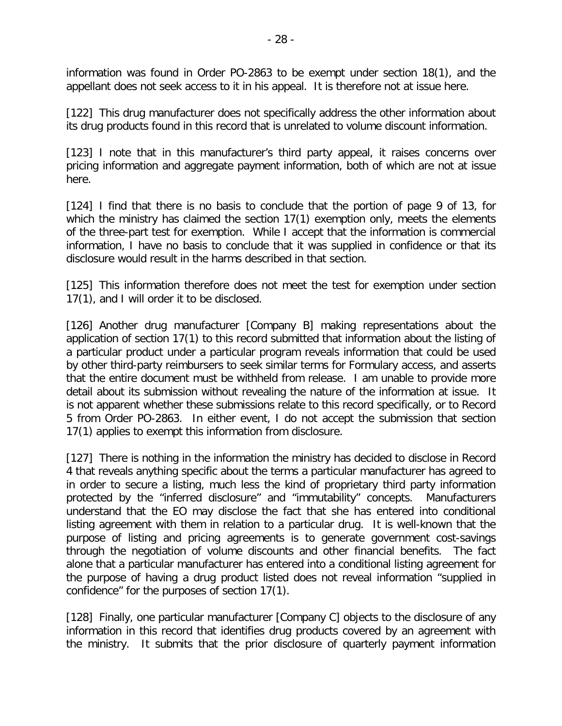information was found in Order PO-2863 to be exempt under section 18(1), and the appellant does not seek access to it in his appeal. It is therefore not at issue here.

[122] This drug manufacturer does not specifically address the other information about its drug products found in this record that is unrelated to volume discount information.

[123] I note that in this manufacturer's third party appeal, it raises concerns over pricing information and aggregate payment information, both of which are not at issue here.

[124] I find that there is no basis to conclude that the portion of page 9 of 13, for which the ministry has claimed the section 17(1) exemption only, meets the elements of the three-part test for exemption. While I accept that the information is commercial information, I have no basis to conclude that it was supplied in confidence or that its disclosure would result in the harms described in that section.

[125] This information therefore does not meet the test for exemption under section 17(1), and I will order it to be disclosed.

[126] Another drug manufacturer [Company B] making representations about the application of section 17(1) to this record submitted that information about the listing of a particular product under a particular program reveals information that could be used by other third-party reimbursers to seek similar terms for Formulary access, and asserts that the entire document must be withheld from release. I am unable to provide more detail about its submission without revealing the nature of the information at issue. It is not apparent whether these submissions relate to this record specifically, or to Record 5 from Order PO-2863. In either event, I do not accept the submission that section 17(1) applies to exempt this information from disclosure.

[127] There is nothing in the information the ministry has decided to disclose in Record 4 that reveals anything specific about the terms a particular manufacturer has agreed to in order to secure a listing, much less the kind of proprietary third party information protected by the "inferred disclosure" and "immutability" concepts. Manufacturers understand that the EO may disclose the fact that she has entered into conditional listing agreement with them in relation to a particular drug. It is well-known that the purpose of listing and pricing agreements is to generate government cost-savings through the negotiation of volume discounts and other financial benefits. The fact alone that a particular manufacturer has entered into a conditional listing agreement for the purpose of having a drug product listed does not reveal information "supplied in confidence" for the purposes of section 17(1).

[128] Finally, one particular manufacturer [Company C] objects to the disclosure of any information in this record that identifies drug products covered by an agreement with the ministry. It submits that the prior disclosure of quarterly payment information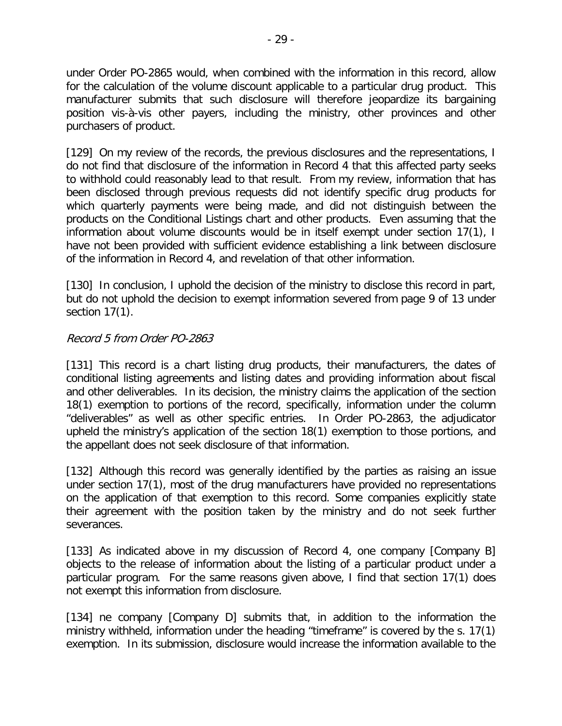under Order PO-2865 would, when combined with the information in this record, allow for the calculation of the volume discount applicable to a particular drug product. This manufacturer submits that such disclosure will therefore jeopardize its bargaining position vis-à-vis other payers, including the ministry, other provinces and other purchasers of product.

[129] On my review of the records, the previous disclosures and the representations, I do not find that disclosure of the information in Record 4 that this affected party seeks to withhold could reasonably lead to that result. From my review, information that has been disclosed through previous requests did not identify specific drug products for which quarterly payments were being made, and did not distinguish between the products on the Conditional Listings chart and other products. Even assuming that the information about volume discounts would be in itself exempt under section 17(1), I have not been provided with sufficient evidence establishing a link between disclosure of the information in Record 4, and revelation of that other information.

[130] In conclusion, I uphold the decision of the ministry to disclose this record in part, but do not uphold the decision to exempt information severed from page 9 of 13 under section 17(1).

#### Record 5 from Order PO-2863

[131] This record is a chart listing drug products, their manufacturers, the dates of conditional listing agreements and listing dates and providing information about fiscal and other deliverables. In its decision, the ministry claims the application of the section 18(1) exemption to portions of the record, specifically, information under the column "deliverables" as well as other specific entries. In Order PO-2863, the adjudicator upheld the ministry's application of the section 18(1) exemption to those portions, and the appellant does not seek disclosure of that information.

[132] Although this record was generally identified by the parties as raising an issue under section 17(1), most of the drug manufacturers have provided no representations on the application of that exemption to this record. Some companies explicitly state their agreement with the position taken by the ministry and do not seek further severances.

[133] As indicated above in my discussion of Record 4, one company [Company B] objects to the release of information about the listing of a particular product under a particular program. For the same reasons given above, I find that section 17(1) does not exempt this information from disclosure.

[134] ne company [Company D] submits that, in addition to the information the ministry withheld, information under the heading "timeframe" is covered by the s. 17(1) exemption. In its submission, disclosure would increase the information available to the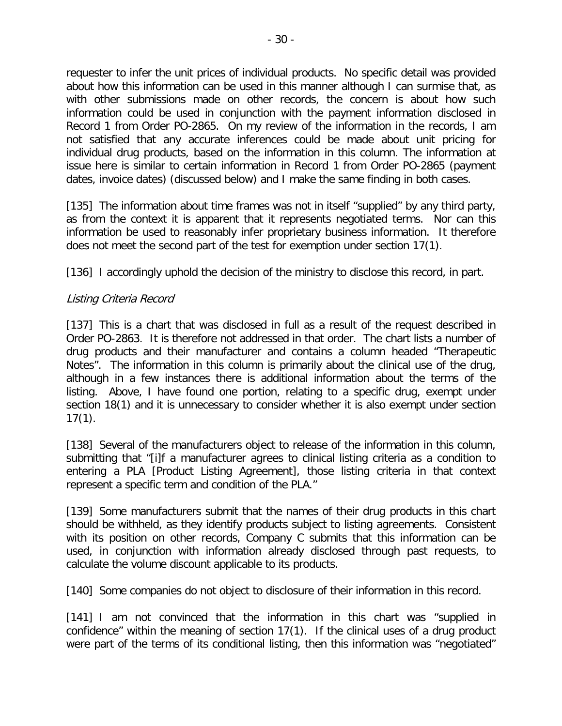requester to infer the unit prices of individual products. No specific detail was provided about how this information can be used in this manner although I can surmise that, as with other submissions made on other records, the concern is about how such information could be used in conjunction with the payment information disclosed in Record 1 from Order PO-2865. On my review of the information in the records, I am not satisfied that any accurate inferences could be made about unit pricing for individual drug products, based on the information in this column. The information at issue here is similar to certain information in Record 1 from Order PO-2865 (payment dates, invoice dates) (discussed below) and I make the same finding in both cases.

[135] The information about time frames was not in itself "supplied" by any third party, as from the context it is apparent that it represents negotiated terms. Nor can this information be used to reasonably infer proprietary business information. It therefore does not meet the second part of the test for exemption under section 17(1).

[136] I accordingly uphold the decision of the ministry to disclose this record, in part.

## Listing Criteria Record

[137] This is a chart that was disclosed in full as a result of the request described in Order PO-2863. It is therefore not addressed in that order. The chart lists a number of drug products and their manufacturer and contains a column headed "Therapeutic Notes". The information in this column is primarily about the clinical use of the drug, although in a few instances there is additional information about the terms of the listing. Above, I have found one portion, relating to a specific drug, exempt under section 18(1) and it is unnecessary to consider whether it is also exempt under section 17(1).

[138] Several of the manufacturers object to release of the information in this column, submitting that "[i]f a manufacturer agrees to clinical listing criteria as a condition to entering a PLA [Product Listing Agreement], those listing criteria in that context represent a specific term and condition of the PLA."

[139] Some manufacturers submit that the names of their drug products in this chart should be withheld, as they identify products subject to listing agreements. Consistent with its position on other records, Company C submits that this information can be used, in conjunction with information already disclosed through past requests, to calculate the volume discount applicable to its products.

[140] Some companies do not object to disclosure of their information in this record.

[141] I am not convinced that the information in this chart was "supplied in confidence" within the meaning of section 17(1). If the clinical uses of a drug product were part of the terms of its conditional listing, then this information was "negotiated"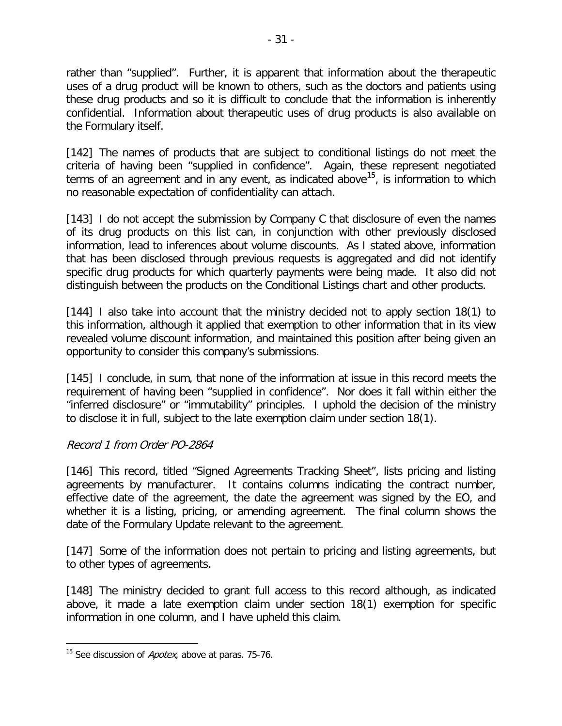rather than "supplied". Further, it is apparent that information about the therapeutic uses of a drug product will be known to others, such as the doctors and patients using these drug products and so it is difficult to conclude that the information is inherently confidential. Information about therapeutic uses of drug products is also available on the Formulary itself.

[142] The names of products that are subject to conditional listings do not meet the criteria of having been "supplied in confidence". Again, these represent negotiated terms of an agreement and in any event, as indicated above<sup>15</sup>, is information to which no reasonable expectation of confidentiality can attach.

[143] I do not accept the submission by Company C that disclosure of even the names of its drug products on this list can, in conjunction with other previously disclosed information, lead to inferences about volume discounts. As I stated above, information that has been disclosed through previous requests is aggregated and did not identify specific drug products for which quarterly payments were being made. It also did not distinguish between the products on the Conditional Listings chart and other products.

[144] I also take into account that the ministry decided not to apply section 18(1) to this information, although it applied that exemption to other information that in its view revealed volume discount information, and maintained this position after being given an opportunity to consider this company's submissions.

[145] I conclude, in sum, that none of the information at issue in this record meets the requirement of having been "supplied in confidence". Nor does it fall within either the "inferred disclosure" or "immutability" principles. I uphold the decision of the ministry to disclose it in full, subject to the late exemption claim under section 18(1).

#### Record 1 from Order PO-2864

[146] This record, titled "Signed Agreements Tracking Sheet", lists pricing and listing agreements by manufacturer. It contains columns indicating the contract number, effective date of the agreement, the date the agreement was signed by the EO, and whether it is a listing, pricing, or amending agreement. The final column shows the date of the Formulary Update relevant to the agreement.

[147] Some of the information does not pertain to pricing and listing agreements, but to other types of agreements.

[148] The ministry decided to grant full access to this record although, as indicated above, it made a late exemption claim under section 18(1) exemption for specific information in one column, and I have upheld this claim.

<span id="page-30-0"></span><sup>&</sup>lt;sup>15</sup> See discussion of *Apotex*, above at paras. 75-76.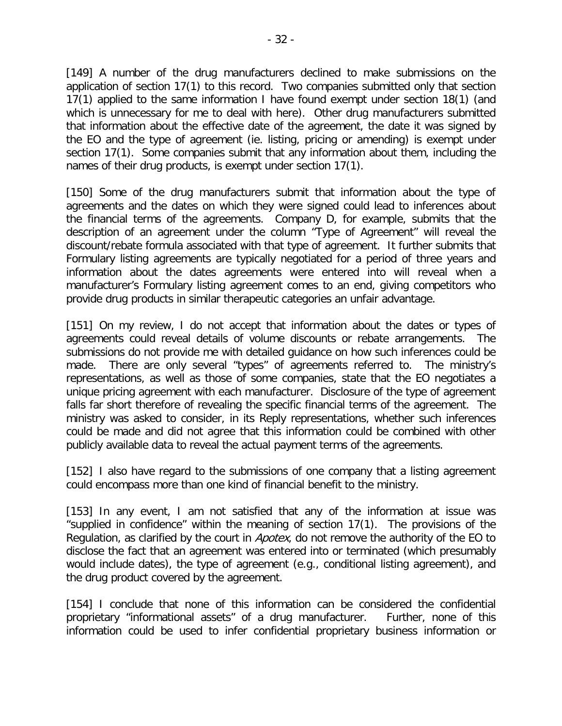[149] A number of the drug manufacturers declined to make submissions on the application of section 17(1) to this record. Two companies submitted only that section 17(1) applied to the same information I have found exempt under section 18(1) (and which is unnecessary for me to deal with here). Other drug manufacturers submitted that information about the effective date of the agreement, the date it was signed by the EO and the type of agreement (ie. listing, pricing or amending) is exempt under section 17(1). Some companies submit that any information about them, including the names of their drug products, is exempt under section 17(1).

[150] Some of the drug manufacturers submit that information about the type of agreements and the dates on which they were signed could lead to inferences about the financial terms of the agreements. Company D, for example, submits that the description of an agreement under the column "Type of Agreement" will reveal the discount/rebate formula associated with that type of agreement. It further submits that Formulary listing agreements are typically negotiated for a period of three years and information about the dates agreements were entered into will reveal when a manufacturer's Formulary listing agreement comes to an end, giving competitors who provide drug products in similar therapeutic categories an unfair advantage.

[151] On my review, I do not accept that information about the dates or types of agreements could reveal details of volume discounts or rebate arrangements. The submissions do not provide me with detailed guidance on how such inferences could be made. There are only several "types" of agreements referred to. The ministry's representations, as well as those of some companies, state that the EO negotiates a unique pricing agreement with each manufacturer. Disclosure of the type of agreement falls far short therefore of revealing the specific financial terms of the agreement. The ministry was asked to consider, in its Reply representations, whether such inferences could be made and did not agree that this information could be combined with other publicly available data to reveal the actual payment terms of the agreements.

[152] I also have regard to the submissions of one company that a listing agreement could encompass more than one kind of financial benefit to the ministry.

[153] In any event, I am not satisfied that any of the information at issue was "supplied in confidence" within the meaning of section 17(1). The provisions of the Regulation, as clarified by the court in *Apotex*, do not remove the authority of the EO to disclose the fact that an agreement was entered into or terminated (which presumably would include dates), the type of agreement (e.g., conditional listing agreement), and the drug product covered by the agreement.

[154] I conclude that none of this information can be considered the confidential proprietary "informational assets" of a drug manufacturer. Further, none of this information could be used to infer confidential proprietary business information or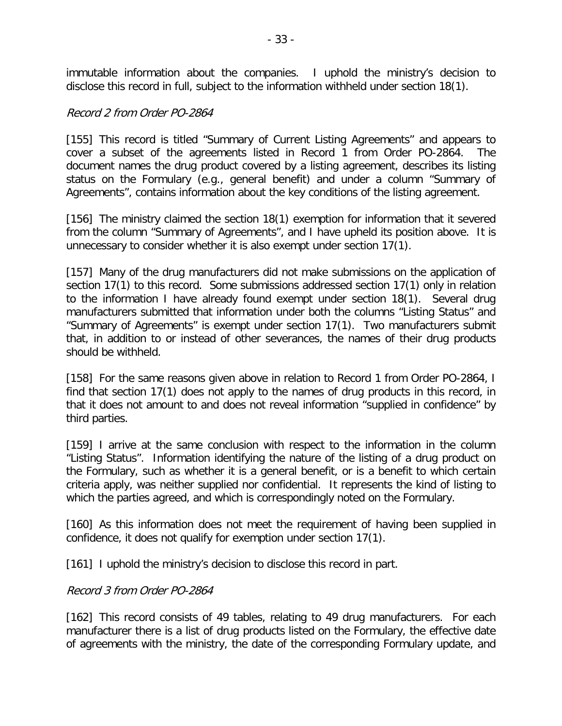immutable information about the companies. I uphold the ministry's decision to disclose this record in full, subject to the information withheld under section 18(1).

#### Record 2 from Order PO-2864

[155] This record is titled "Summary of Current Listing Agreements" and appears to cover a subset of the agreements listed in Record 1 from Order PO-2864. The document names the drug product covered by a listing agreement, describes its listing status on the Formulary (e.g., general benefit) and under a column "Summary of Agreements", contains information about the key conditions of the listing agreement.

[156] The ministry claimed the section 18(1) exemption for information that it severed from the column "Summary of Agreements", and I have upheld its position above. It is unnecessary to consider whether it is also exempt under section 17(1).

[157] Many of the drug manufacturers did not make submissions on the application of section 17(1) to this record. Some submissions addressed section 17(1) only in relation to the information I have already found exempt under section 18(1). Several drug manufacturers submitted that information under both the columns "Listing Status" and "Summary of Agreements" is exempt under section 17(1). Two manufacturers submit that, in addition to or instead of other severances, the names of their drug products should be withheld.

[158] For the same reasons given above in relation to Record 1 from Order PO-2864, I find that section 17(1) does not apply to the names of drug products in this record, in that it does not amount to and does not reveal information "supplied in confidence" by third parties.

[159] I arrive at the same conclusion with respect to the information in the column "Listing Status". Information identifying the nature of the listing of a drug product on the Formulary, such as whether it is a general benefit, or is a benefit to which certain criteria apply, was neither supplied nor confidential. It represents the kind of listing to which the parties agreed, and which is correspondingly noted on the Formulary.

[160] As this information does not meet the requirement of having been supplied in confidence, it does not qualify for exemption under section 17(1).

[161] I uphold the ministry's decision to disclose this record in part.

#### Record 3 from Order PO-2864

[162] This record consists of 49 tables, relating to 49 drug manufacturers. For each manufacturer there is a list of drug products listed on the Formulary, the effective date of agreements with the ministry, the date of the corresponding Formulary update, and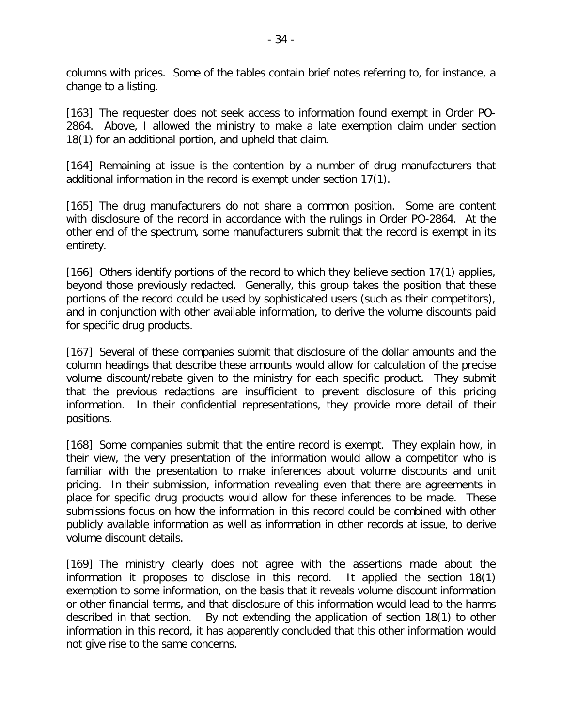columns with prices. Some of the tables contain brief notes referring to, for instance, a change to a listing.

[163] The requester does not seek access to information found exempt in Order PO-2864. Above, I allowed the ministry to make a late exemption claim under section 18(1) for an additional portion, and upheld that claim.

[164] Remaining at issue is the contention by a number of drug manufacturers that additional information in the record is exempt under section 17(1).

[165] The drug manufacturers do not share a common position. Some are content with disclosure of the record in accordance with the rulings in Order PO-2864. At the other end of the spectrum, some manufacturers submit that the record is exempt in its entirety.

[166] Others identify portions of the record to which they believe section 17(1) applies, beyond those previously redacted. Generally, this group takes the position that these portions of the record could be used by sophisticated users (such as their competitors), and in conjunction with other available information, to derive the volume discounts paid for specific drug products.

[167] Several of these companies submit that disclosure of the dollar amounts and the column headings that describe these amounts would allow for calculation of the precise volume discount/rebate given to the ministry for each specific product. They submit that the previous redactions are insufficient to prevent disclosure of this pricing information. In their confidential representations, they provide more detail of their positions.

[168] Some companies submit that the entire record is exempt. They explain how, in their view, the very presentation of the information would allow a competitor who is familiar with the presentation to make inferences about volume discounts and unit pricing. In their submission, information revealing even that there are agreements in place for specific drug products would allow for these inferences to be made. These submissions focus on how the information in this record could be combined with other publicly available information as well as information in other records at issue, to derive volume discount details.

[169] The ministry clearly does not agree with the assertions made about the information it proposes to disclose in this record. It applied the section 18(1) exemption to some information, on the basis that it reveals volume discount information or other financial terms, and that disclosure of this information would lead to the harms described in that section. By not extending the application of section 18(1) to other information in this record, it has apparently concluded that this other information would not give rise to the same concerns.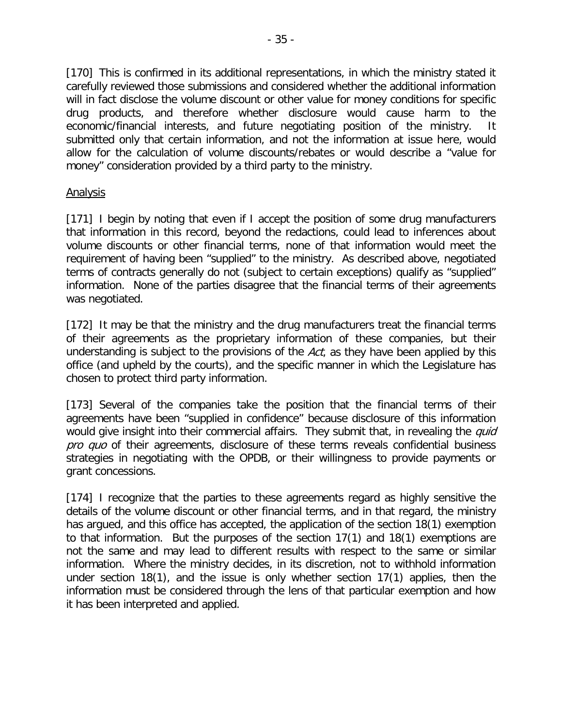[170] This is confirmed in its additional representations, in which the ministry stated it carefully reviewed those submissions and considered whether the additional information will in fact disclose the volume discount or other value for money conditions for specific drug products, and therefore whether disclosure would cause harm to the economic/financial interests, and future negotiating position of the ministry. It submitted only that certain information, and not the information at issue here, would allow for the calculation of volume discounts/rebates or would describe a "value for money" consideration provided by a third party to the ministry.

#### Analysis

[171] I begin by noting that even if I accept the position of some drug manufacturers that information in this record, beyond the redactions, could lead to inferences about volume discounts or other financial terms, none of that information would meet the requirement of having been "supplied" to the ministry. As described above, negotiated terms of contracts generally do not (subject to certain exceptions) qualify as "supplied" information. None of the parties disagree that the financial terms of their agreements was negotiated.

[172] It may be that the ministry and the drug manufacturers treat the financial terms of their agreements as the proprietary information of these companies, but their understanding is subject to the provisions of the  $Act$ , as they have been applied by this office (and upheld by the courts), and the specific manner in which the Legislature has chosen to protect third party information.

[173] Several of the companies take the position that the financial terms of their agreements have been "supplied in confidence" because disclosure of this information would give insight into their commercial affairs. They submit that, in revealing the *quid* pro quo of their agreements, disclosure of these terms reveals confidential business strategies in negotiating with the OPDB, or their willingness to provide payments or grant concessions.

[174] I recognize that the parties to these agreements regard as highly sensitive the details of the volume discount or other financial terms, and in that regard, the ministry has argued, and this office has accepted, the application of the section 18(1) exemption to that information. But the purposes of the section 17(1) and 18(1) exemptions are not the same and may lead to different results with respect to the same or similar information. Where the ministry decides, in its discretion, not to withhold information under section 18(1), and the issue is only whether section 17(1) applies, then the information must be considered through the lens of that particular exemption and how it has been interpreted and applied.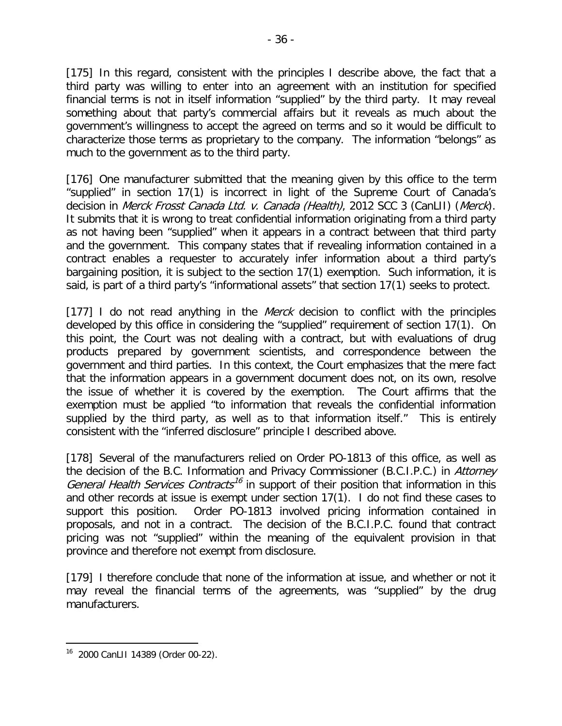[175] In this regard, consistent with the principles I describe above, the fact that a third party was willing to enter into an agreement with an institution for specified financial terms is not in itself information "supplied" by the third party. It may reveal something about that party's commercial affairs but it reveals as much about the government's willingness to accept the agreed on terms and so it would be difficult to characterize those terms as proprietary to the company. The information "belongs" as much to the government as to the third party.

[176] One manufacturer submitted that the meaning given by this office to the term "supplied" in section 17(1) is incorrect in light of the Supreme Court of Canada's decision in Merck Frosst Canada Ltd. v. Canada (Health), 2012 SCC 3 (CanLII) (Merck). It submits that it is wrong to treat confidential information originating from a third party as not having been "supplied" when it appears in a contract between that third party and the government. This company states that if revealing information contained in a contract enables a requester to accurately infer information about a third party's bargaining position, it is subject to the section 17(1) exemption. Such information, it is said, is part of a third party's "informational assets" that section 17(1) seeks to protect.

[177] I do not read anything in the *Merck* decision to conflict with the principles developed by this office in considering the "supplied" requirement of section 17(1). On this point, the Court was not dealing with a contract, but with evaluations of drug products prepared by government scientists, and correspondence between the government and third parties. In this context, the Court emphasizes that the mere fact that the information appears in a government document does not, on its own, resolve the issue of whether it is covered by the exemption. The Court affirms that the exemption must be applied "to information that reveals the confidential information supplied by the third party, as well as to that information itself." This is entirely consistent with the "inferred disclosure" principle I described above.

[178] Several of the manufacturers relied on Order PO-1813 of this office, as well as the decision of the B.C. Information and Privacy Commissioner (B.C.I.P.C.) in Attorney General Health Services Contracts<sup>[16](#page-35-0)</sup> in support of their position that information in this and other records at issue is exempt under section 17(1). I do not find these cases to support this position. Order PO-1813 involved pricing information contained in proposals, and not in a contract. The decision of the B.C.I.P.C. found that contract pricing was not "supplied" within the meaning of the equivalent provision in that province and therefore not exempt from disclosure.

[179] I therefore conclude that none of the information at issue, and whether or not it may reveal the financial terms of the agreements, was "supplied" by the drug manufacturers.

<span id="page-35-0"></span><sup>16 2000</sup> CanLII 14389 (Order 00-22).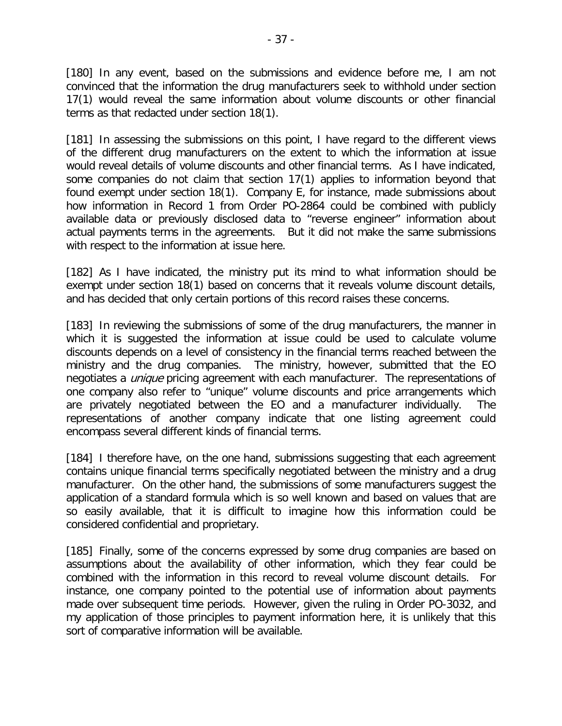[180] In any event, based on the submissions and evidence before me, I am not convinced that the information the drug manufacturers seek to withhold under section 17(1) would reveal the same information about volume discounts or other financial terms as that redacted under section 18(1).

[181] In assessing the submissions on this point, I have regard to the different views of the different drug manufacturers on the extent to which the information at issue would reveal details of volume discounts and other financial terms. As I have indicated, some companies do not claim that section 17(1) applies to information beyond that found exempt under section 18(1). Company E, for instance, made submissions about how information in Record 1 from Order PO-2864 could be combined with publicly available data or previously disclosed data to "reverse engineer" information about actual payments terms in the agreements. But it did not make the same submissions with respect to the information at issue here.

[182] As I have indicated, the ministry put its mind to what information should be exempt under section 18(1) based on concerns that it reveals volume discount details, and has decided that only certain portions of this record raises these concerns.

[183] In reviewing the submissions of some of the drug manufacturers, the manner in which it is suggested the information at issue could be used to calculate volume discounts depends on a level of consistency in the financial terms reached between the ministry and the drug companies. The ministry, however, submitted that the EO negotiates a *unique* pricing agreement with each manufacturer. The representations of one company also refer to "unique" volume discounts and price arrangements which are privately negotiated between the EO and a manufacturer individually. The representations of another company indicate that one listing agreement could encompass several different kinds of financial terms.

[184] I therefore have, on the one hand, submissions suggesting that each agreement contains unique financial terms specifically negotiated between the ministry and a drug manufacturer. On the other hand, the submissions of some manufacturers suggest the application of a standard formula which is so well known and based on values that are so easily available, that it is difficult to imagine how this information could be considered confidential and proprietary.

[185] Finally, some of the concerns expressed by some drug companies are based on assumptions about the availability of other information, which they fear could be combined with the information in this record to reveal volume discount details. For instance, one company pointed to the potential use of information about payments made over subsequent time periods. However, given the ruling in Order PO-3032, and my application of those principles to payment information here, it is unlikely that this sort of comparative information will be available.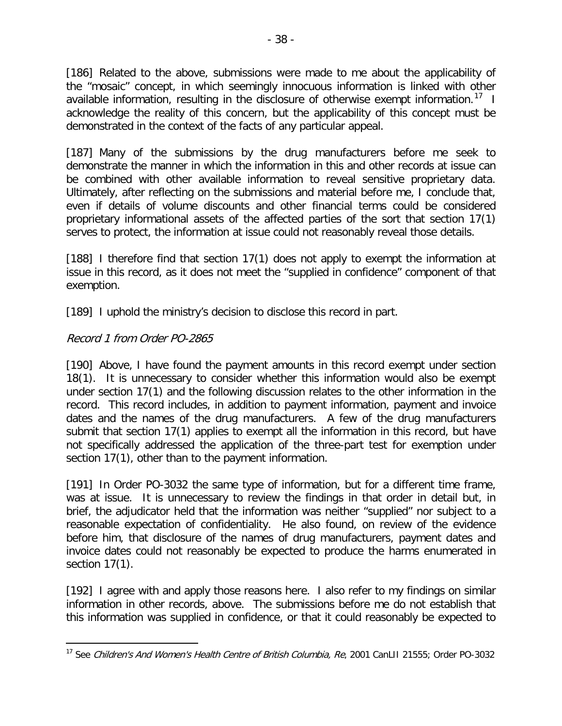[186] Related to the above, submissions were made to me about the applicability of the "mosaic" concept, in which seemingly innocuous information is linked with other available information, resulting in the disclosure of otherwise exempt information.<sup>17</sup> I acknowledge the reality of this concern, but the applicability of this concept must be demonstrated in the context of the facts of any particular appeal.

[187] Many of the submissions by the drug manufacturers before me seek to demonstrate the manner in which the information in this and other records at issue can be combined with other available information to reveal sensitive proprietary data. Ultimately, after reflecting on the submissions and material before me, I conclude that, even if details of volume discounts and other financial terms could be considered proprietary informational assets of the affected parties of the sort that section 17(1) serves to protect, the information at issue could not reasonably reveal those details.

[188] I therefore find that section 17(1) does not apply to exempt the information at issue in this record, as it does not meet the "supplied in confidence" component of that exemption.

[189] I uphold the ministry's decision to disclose this record in part.

#### Record 1 from Order PO-2865

 $\overline{a}$ 

[190] Above, I have found the payment amounts in this record exempt under section 18(1). It is unnecessary to consider whether this information would also be exempt under section 17(1) and the following discussion relates to the other information in the record. This record includes, in addition to payment information, payment and invoice dates and the names of the drug manufacturers. A few of the drug manufacturers submit that section 17(1) applies to exempt all the information in this record, but have not specifically addressed the application of the three-part test for exemption under section 17(1), other than to the payment information.

[191] In Order PO-3032 the same type of information, but for a different time frame, was at issue. It is unnecessary to review the findings in that order in detail but, in brief, the adjudicator held that the information was neither "supplied" nor subject to a reasonable expectation of confidentiality. He also found, on review of the evidence before him, that disclosure of the names of drug manufacturers, payment dates and invoice dates could not reasonably be expected to produce the harms enumerated in section 17(1).

[192] I agree with and apply those reasons here. I also refer to my findings on similar information in other records, above. The submissions before me do not establish that this information was supplied in confidence, or that it could reasonably be expected to

<span id="page-37-0"></span><sup>&</sup>lt;sup>17</sup> See Children's And Women's Health Centre of British Columbia, Re, 2001 CanLII 21555; Order PO-3032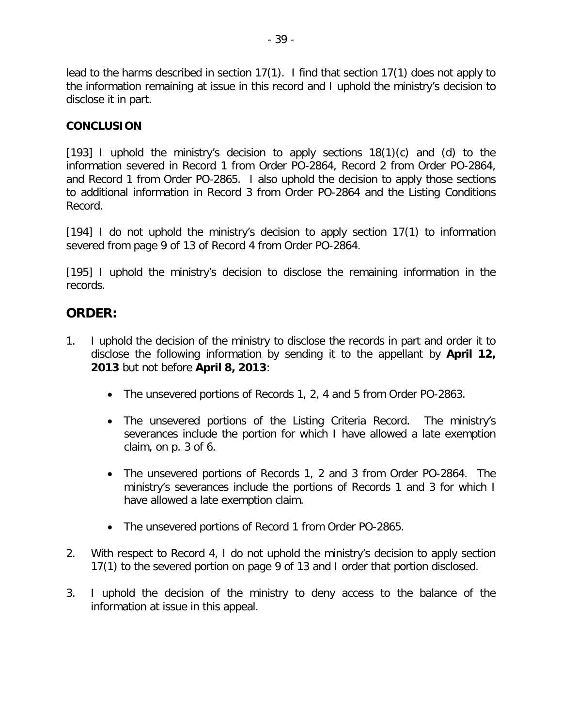lead to the harms described in section 17(1). I find that section 17(1) does not apply to the information remaining at issue in this record and I uphold the ministry's decision to disclose it in part.

#### **CONCLUSION**

[193] I uphold the ministry's decision to apply sections  $18(1)(c)$  and (d) to the information severed in Record 1 from Order PO-2864, Record 2 from Order PO-2864, and Record 1 from Order PO-2865. I also uphold the decision to apply those sections to additional information in Record 3 from Order PO-2864 and the Listing Conditions Record.

[194] I do not uphold the ministry's decision to apply section 17(1) to information severed from page 9 of 13 of Record 4 from Order PO-2864.

[195] I uphold the ministry's decision to disclose the remaining information in the records.

# **ORDER:**

- 1. I uphold the decision of the ministry to disclose the records in part and order it to disclose the following information by sending it to the appellant by **April 12, 2013** but not before **April 8, 2013**:
	- The unsevered portions of Records 1, 2, 4 and 5 from Order PO-2863.
	- The unsevered portions of the Listing Criteria Record. The ministry's severances include the portion for which I have allowed a late exemption claim, on p. 3 of 6.
	- The unsevered portions of Records 1, 2 and 3 from Order PO-2864. The ministry's severances include the portions of Records 1 and 3 for which I have allowed a late exemption claim.
	- The unsevered portions of Record 1 from Order PO-2865.
- 2. With respect to Record 4, I do not uphold the ministry's decision to apply section 17(1) to the severed portion on page 9 of 13 and I order that portion disclosed.
- 3. I uphold the decision of the ministry to deny access to the balance of the information at issue in this appeal.